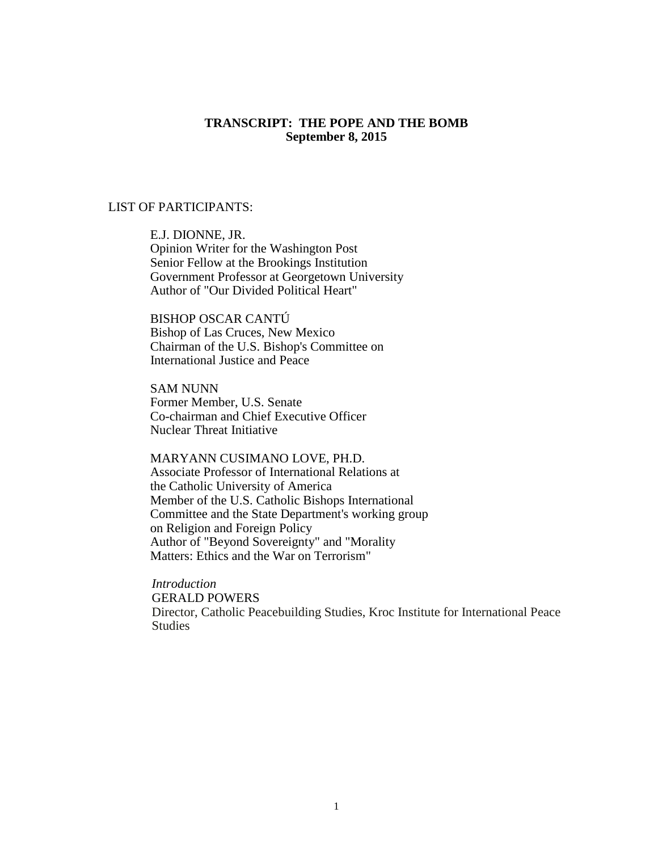#### **TRANSCRIPT: THE POPE AND THE BOMB September 8, 2015**

### LIST OF PARTICIPANTS:

E.J. DIONNE, JR. Opinion Writer for the Washington Post Senior Fellow at the Brookings Institution Government Professor at Georgetown University Author of "Our Divided Political Heart"

BISHOP OSCAR CANTÚ Bishop of Las Cruces, New Mexico Chairman of the U.S. Bishop's Committee on International Justice and Peace

SAM NUNN Former Member, U.S. Senate Co-chairman and Chief Executive Officer Nuclear Threat Initiative

MARYANN CUSIMANO LOVE, PH.D. Associate Professor of International Relations at the Catholic University of America Member of the U.S. Catholic Bishops International Committee and the State Department's working group on Religion and Foreign Policy Author of "Beyond Sovereignty" and "Morality Matters: Ethics and the War on Terrorism"

*Introduction* GERALD POWERS Director, Catholic Peacebuilding Studies, Kroc Institute for International Peace Studies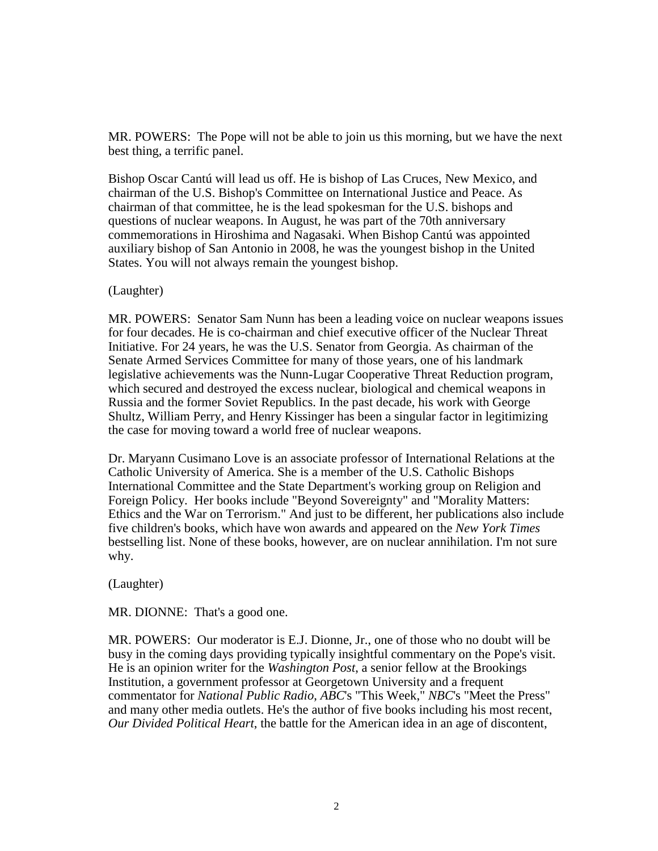MR. POWERS: The Pope will not be able to join us this morning, but we have the next best thing, a terrific panel.

Bishop Oscar Cantú will lead us off. He is bishop of Las Cruces, New Mexico, and chairman of the U.S. Bishop's Committee on International Justice and Peace. As chairman of that committee, he is the lead spokesman for the U.S. bishops and questions of nuclear weapons. In August, he was part of the 70th anniversary commemorations in Hiroshima and Nagasaki. When Bishop Cantú was appointed auxiliary bishop of San Antonio in 2008, he was the youngest bishop in the United States. You will not always remain the youngest bishop.

(Laughter)

MR. POWERS: Senator Sam Nunn has been a leading voice on nuclear weapons issues for four decades. He is co-chairman and chief executive officer of the Nuclear Threat Initiative. For 24 years, he was the U.S. Senator from Georgia. As chairman of the Senate Armed Services Committee for many of those years, one of his landmark legislative achievements was the Nunn-Lugar Cooperative Threat Reduction program, which secured and destroyed the excess nuclear, biological and chemical weapons in Russia and the former Soviet Republics. In the past decade, his work with George Shultz, William Perry, and Henry Kissinger has been a singular factor in legitimizing the case for moving toward a world free of nuclear weapons.

Dr. Maryann Cusimano Love is an associate professor of International Relations at the Catholic University of America. She is a member of the U.S. Catholic Bishops International Committee and the State Department's working group on Religion and Foreign Policy. Her books include "Beyond Sovereignty" and "Morality Matters: Ethics and the War on Terrorism." And just to be different, her publications also include five children's books, which have won awards and appeared on the *New York Times* bestselling list. None of these books, however, are on nuclear annihilation. I'm not sure why.

(Laughter)

MR. DIONNE: That's a good one.

MR. POWERS: Our moderator is E.J. Dionne, Jr., one of those who no doubt will be busy in the coming days providing typically insightful commentary on the Pope's visit. He is an opinion writer for the *Washington Post*, a senior fellow at the Brookings Institution, a government professor at Georgetown University and a frequent commentator for *National Public Radio*, *ABC*'s "This Week," *NBC*'s "Meet the Press" and many other media outlets. He's the author of five books including his most recent, *Our Divided Political Heart*, the battle for the American idea in an age of discontent,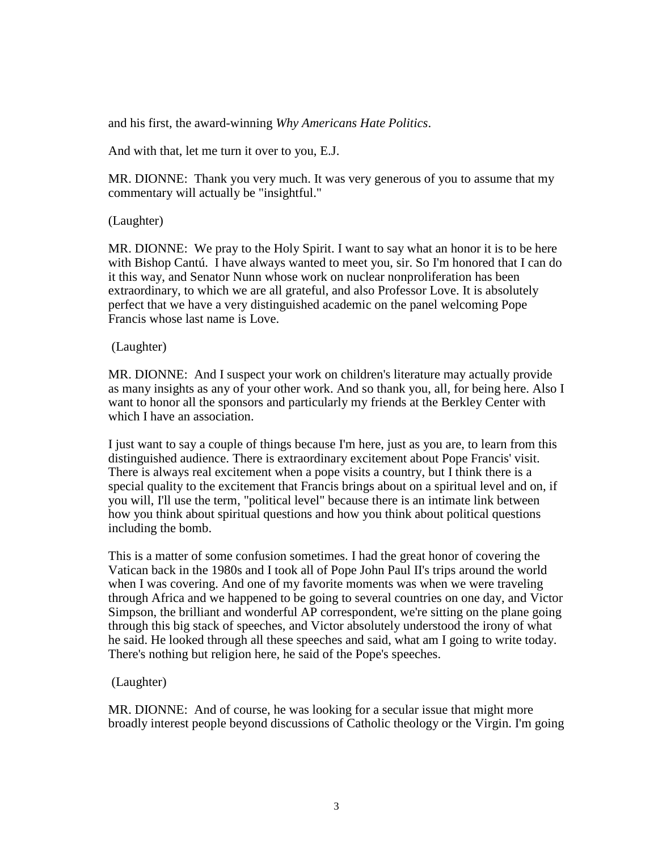and his first, the award-winning *Why Americans Hate Politics*.

And with that, let me turn it over to you, E.J.

MR. DIONNE: Thank you very much. It was very generous of you to assume that my commentary will actually be "insightful."

# (Laughter)

MR. DIONNE: We pray to the Holy Spirit. I want to say what an honor it is to be here with Bishop Cantú. I have always wanted to meet you, sir. So I'm honored that I can do it this way, and Senator Nunn whose work on nuclear nonproliferation has been extraordinary, to which we are all grateful, and also Professor Love. It is absolutely perfect that we have a very distinguished academic on the panel welcoming Pope Francis whose last name is Love.

## (Laughter)

MR. DIONNE: And I suspect your work on children's literature may actually provide as many insights as any of your other work. And so thank you, all, for being here. Also I want to honor all the sponsors and particularly my friends at the Berkley Center with which I have an association.

I just want to say a couple of things because I'm here, just as you are, to learn from this distinguished audience. There is extraordinary excitement about Pope Francis' visit. There is always real excitement when a pope visits a country, but I think there is a special quality to the excitement that Francis brings about on a spiritual level and on, if you will, I'll use the term, "political level" because there is an intimate link between how you think about spiritual questions and how you think about political questions including the bomb.

This is a matter of some confusion sometimes. I had the great honor of covering the Vatican back in the 1980s and I took all of Pope John Paul II's trips around the world when I was covering. And one of my favorite moments was when we were traveling through Africa and we happened to be going to several countries on one day, and Victor Simpson, the brilliant and wonderful AP correspondent, we're sitting on the plane going through this big stack of speeches, and Victor absolutely understood the irony of what he said. He looked through all these speeches and said, what am I going to write today. There's nothing but religion here, he said of the Pope's speeches.

# (Laughter)

MR. DIONNE: And of course, he was looking for a secular issue that might more broadly interest people beyond discussions of Catholic theology or the Virgin. I'm going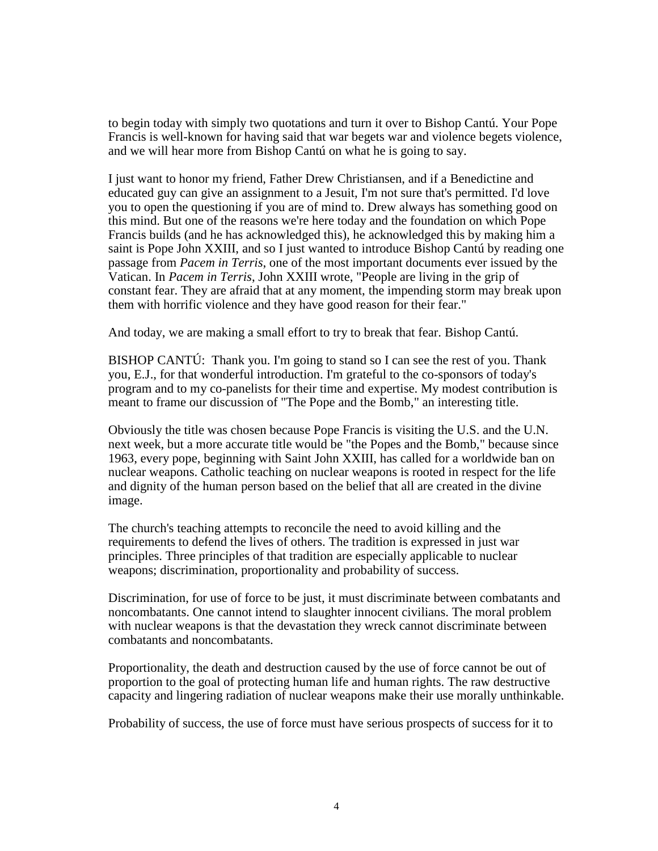to begin today with simply two quotations and turn it over to Bishop Cantú. Your Pope Francis is well-known for having said that war begets war and violence begets violence, and we will hear more from Bishop Cantú on what he is going to say.

I just want to honor my friend, Father Drew Christiansen, and if a Benedictine and educated guy can give an assignment to a Jesuit, I'm not sure that's permitted. I'd love you to open the questioning if you are of mind to. Drew always has something good on this mind. But one of the reasons we're here today and the foundation on which Pope Francis builds (and he has acknowledged this), he acknowledged this by making him a saint is Pope John XXIII, and so I just wanted to introduce Bishop Cantú by reading one passage from *Pacem in Terris*, one of the most important documents ever issued by the Vatican. In *Pacem in Terris*, John XXIII wrote, "People are living in the grip of constant fear. They are afraid that at any moment, the impending storm may break upon them with horrific violence and they have good reason for their fear."

And today, we are making a small effort to try to break that fear. Bishop Cantú.

BISHOP CANTÚ: Thank you. I'm going to stand so I can see the rest of you. Thank you, E.J., for that wonderful introduction. I'm grateful to the co-sponsors of today's program and to my co-panelists for their time and expertise. My modest contribution is meant to frame our discussion of "The Pope and the Bomb," an interesting title.

Obviously the title was chosen because Pope Francis is visiting the U.S. and the U.N. next week, but a more accurate title would be "the Popes and the Bomb," because since 1963, every pope, beginning with Saint John XXIII, has called for a worldwide ban on nuclear weapons. Catholic teaching on nuclear weapons is rooted in respect for the life and dignity of the human person based on the belief that all are created in the divine image.

The church's teaching attempts to reconcile the need to avoid killing and the requirements to defend the lives of others. The tradition is expressed in just war principles. Three principles of that tradition are especially applicable to nuclear weapons; discrimination, proportionality and probability of success.

Discrimination, for use of force to be just, it must discriminate between combatants and noncombatants. One cannot intend to slaughter innocent civilians. The moral problem with nuclear weapons is that the devastation they wreck cannot discriminate between combatants and noncombatants.

Proportionality, the death and destruction caused by the use of force cannot be out of proportion to the goal of protecting human life and human rights. The raw destructive capacity and lingering radiation of nuclear weapons make their use morally unthinkable.

Probability of success, the use of force must have serious prospects of success for it to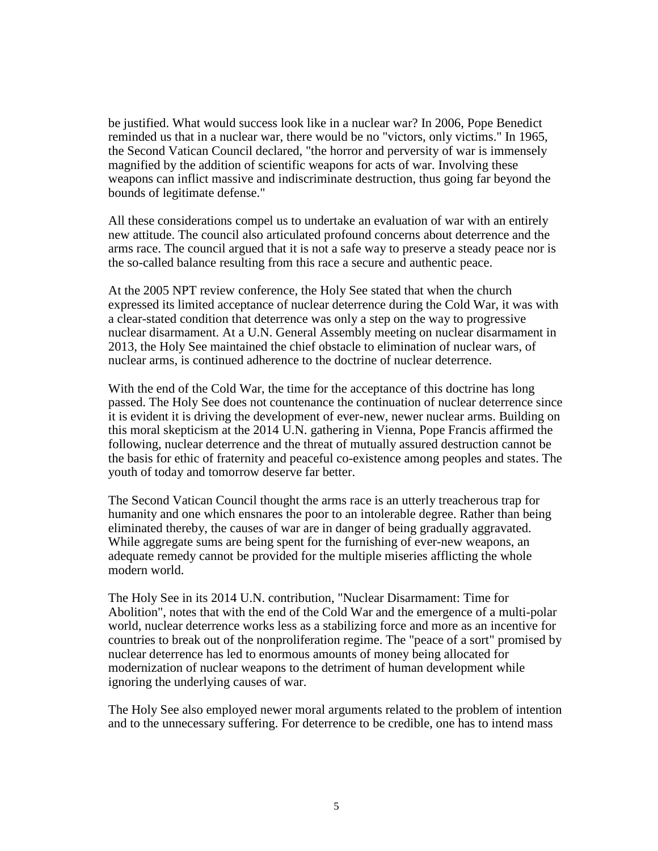be justified. What would success look like in a nuclear war? In 2006, Pope Benedict reminded us that in a nuclear war, there would be no "victors, only victims." In 1965, the Second Vatican Council declared, "the horror and perversity of war is immensely magnified by the addition of scientific weapons for acts of war. Involving these weapons can inflict massive and indiscriminate destruction, thus going far beyond the bounds of legitimate defense."

All these considerations compel us to undertake an evaluation of war with an entirely new attitude. The council also articulated profound concerns about deterrence and the arms race. The council argued that it is not a safe way to preserve a steady peace nor is the so-called balance resulting from this race a secure and authentic peace.

At the 2005 NPT review conference, the Holy See stated that when the church expressed its limited acceptance of nuclear deterrence during the Cold War, it was with a clear-stated condition that deterrence was only a step on the way to progressive nuclear disarmament. At a U.N. General Assembly meeting on nuclear disarmament in 2013, the Holy See maintained the chief obstacle to elimination of nuclear wars, of nuclear arms, is continued adherence to the doctrine of nuclear deterrence.

With the end of the Cold War, the time for the acceptance of this doctrine has long passed. The Holy See does not countenance the continuation of nuclear deterrence since it is evident it is driving the development of ever-new, newer nuclear arms. Building on this moral skepticism at the 2014 U.N. gathering in Vienna, Pope Francis affirmed the following, nuclear deterrence and the threat of mutually assured destruction cannot be the basis for ethic of fraternity and peaceful co-existence among peoples and states. The youth of today and tomorrow deserve far better.

The Second Vatican Council thought the arms race is an utterly treacherous trap for humanity and one which ensnares the poor to an intolerable degree. Rather than being eliminated thereby, the causes of war are in danger of being gradually aggravated. While aggregate sums are being spent for the furnishing of ever-new weapons, an adequate remedy cannot be provided for the multiple miseries afflicting the whole modern world.

The Holy See in its 2014 U.N. contribution, "Nuclear Disarmament: Time for Abolition", notes that with the end of the Cold War and the emergence of a multi-polar world, nuclear deterrence works less as a stabilizing force and more as an incentive for countries to break out of the nonproliferation regime. The "peace of a sort" promised by nuclear deterrence has led to enormous amounts of money being allocated for modernization of nuclear weapons to the detriment of human development while ignoring the underlying causes of war.

The Holy See also employed newer moral arguments related to the problem of intention and to the unnecessary suffering. For deterrence to be credible, one has to intend mass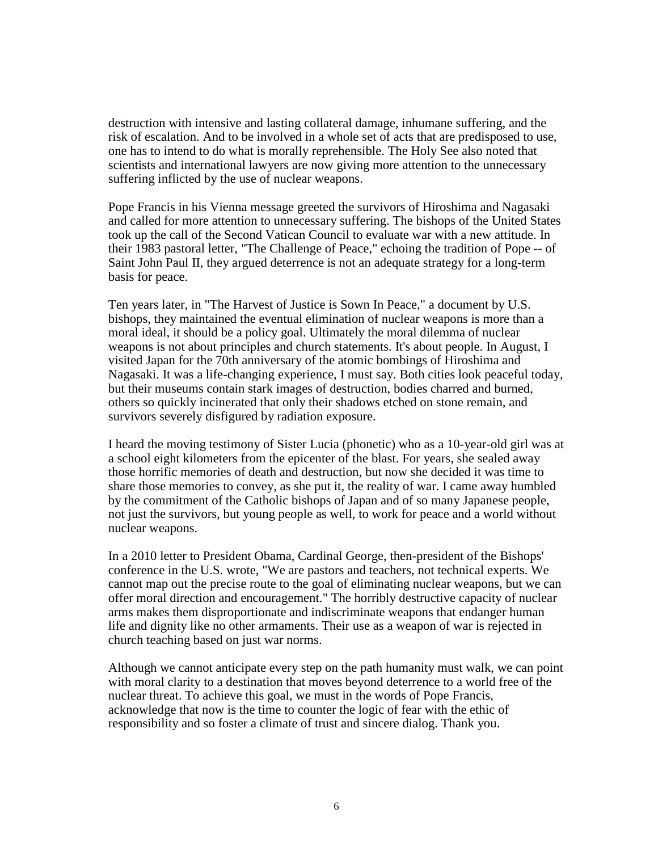destruction with intensive and lasting collateral damage, inhumane suffering, and the risk of escalation. And to be involved in a whole set of acts that are predisposed to use, one has to intend to do what is morally reprehensible. The Holy See also noted that scientists and international lawyers are now giving more attention to the unnecessary suffering inflicted by the use of nuclear weapons.

Pope Francis in his Vienna message greeted the survivors of Hiroshima and Nagasaki and called for more attention to unnecessary suffering. The bishops of the United States took up the call of the Second Vatican Council to evaluate war with a new attitude. In their 1983 pastoral letter, "The Challenge of Peace," echoing the tradition of Pope -- of Saint John Paul II, they argued deterrence is not an adequate strategy for a long-term basis for peace.

Ten years later, in "The Harvest of Justice is Sown In Peace," a document by U.S. bishops, they maintained the eventual elimination of nuclear weapons is more than a moral ideal, it should be a policy goal. Ultimately the moral dilemma of nuclear weapons is not about principles and church statements. It's about people. In August, I visited Japan for the 70th anniversary of the atomic bombings of Hiroshima and Nagasaki. It was a life-changing experience, I must say. Both cities look peaceful today, but their museums contain stark images of destruction, bodies charred and burned, others so quickly incinerated that only their shadows etched on stone remain, and survivors severely disfigured by radiation exposure.

I heard the moving testimony of Sister Lucia (phonetic) who as a 10-year-old girl was at a school eight kilometers from the epicenter of the blast. For years, she sealed away those horrific memories of death and destruction, but now she decided it was time to share those memories to convey, as she put it, the reality of war. I came away humbled by the commitment of the Catholic bishops of Japan and of so many Japanese people, not just the survivors, but young people as well, to work for peace and a world without nuclear weapons.

In a 2010 letter to President Obama, Cardinal George, then-president of the Bishops' conference in the U.S. wrote, "We are pastors and teachers, not technical experts. We cannot map out the precise route to the goal of eliminating nuclear weapons, but we can offer moral direction and encouragement." The horribly destructive capacity of nuclear arms makes them disproportionate and indiscriminate weapons that endanger human life and dignity like no other armaments. Their use as a weapon of war is rejected in church teaching based on just war norms.

Although we cannot anticipate every step on the path humanity must walk, we can point with moral clarity to a destination that moves beyond deterrence to a world free of the nuclear threat. To achieve this goal, we must in the words of Pope Francis, acknowledge that now is the time to counter the logic of fear with the ethic of responsibility and so foster a climate of trust and sincere dialog. Thank you.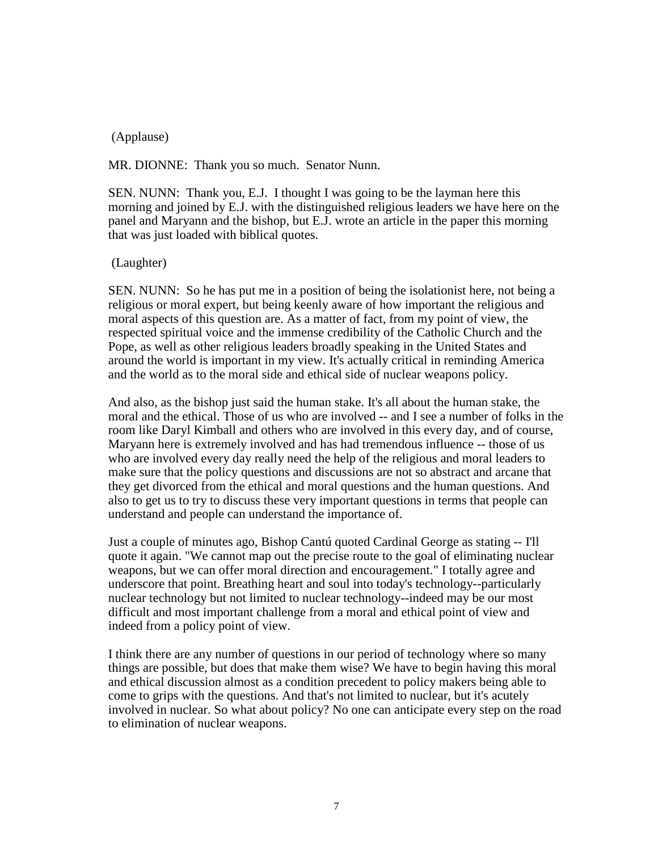## (Applause)

MR. DIONNE: Thank you so much. Senator Nunn.

SEN. NUNN: Thank you, E.J. I thought I was going to be the layman here this morning and joined by E.J. with the distinguished religious leaders we have here on the panel and Maryann and the bishop, but E.J. wrote an article in the paper this morning that was just loaded with biblical quotes.

### (Laughter)

SEN. NUNN: So he has put me in a position of being the isolationist here, not being a religious or moral expert, but being keenly aware of how important the religious and moral aspects of this question are. As a matter of fact, from my point of view, the respected spiritual voice and the immense credibility of the Catholic Church and the Pope, as well as other religious leaders broadly speaking in the United States and around the world is important in my view. It's actually critical in reminding America and the world as to the moral side and ethical side of nuclear weapons policy.

And also, as the bishop just said the human stake. It's all about the human stake, the moral and the ethical. Those of us who are involved -- and I see a number of folks in the room like Daryl Kimball and others who are involved in this every day, and of course, Maryann here is extremely involved and has had tremendous influence -- those of us who are involved every day really need the help of the religious and moral leaders to make sure that the policy questions and discussions are not so abstract and arcane that they get divorced from the ethical and moral questions and the human questions. And also to get us to try to discuss these very important questions in terms that people can understand and people can understand the importance of.

Just a couple of minutes ago, Bishop Cantú quoted Cardinal George as stating -- I'll quote it again. "We cannot map out the precise route to the goal of eliminating nuclear weapons, but we can offer moral direction and encouragement." I totally agree and underscore that point. Breathing heart and soul into today's technology--particularly nuclear technology but not limited to nuclear technology--indeed may be our most difficult and most important challenge from a moral and ethical point of view and indeed from a policy point of view.

I think there are any number of questions in our period of technology where so many things are possible, but does that make them wise? We have to begin having this moral and ethical discussion almost as a condition precedent to policy makers being able to come to grips with the questions. And that's not limited to nuclear, but it's acutely involved in nuclear. So what about policy? No one can anticipate every step on the road to elimination of nuclear weapons.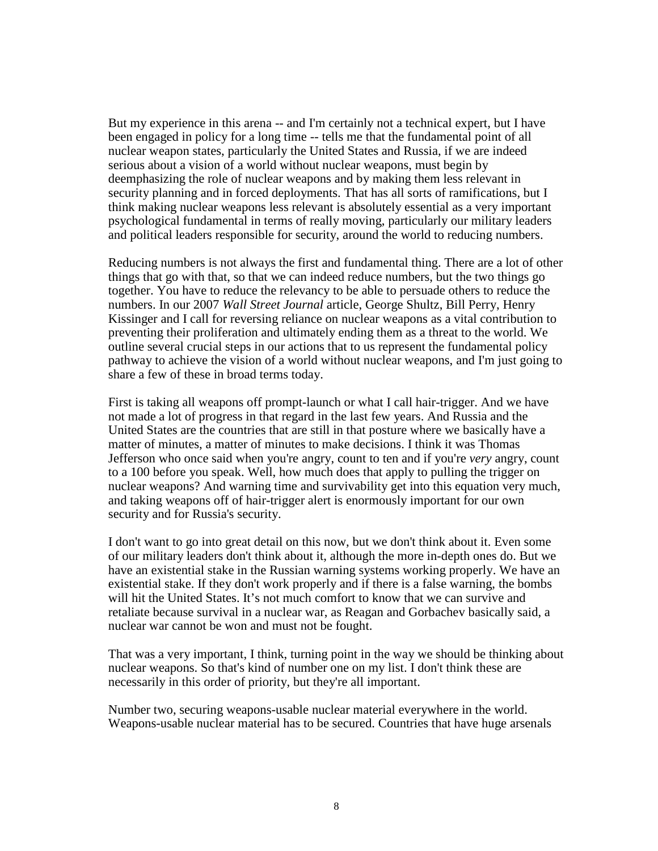But my experience in this arena -- and I'm certainly not a technical expert, but I have been engaged in policy for a long time -- tells me that the fundamental point of all nuclear weapon states, particularly the United States and Russia, if we are indeed serious about a vision of a world without nuclear weapons, must begin by deemphasizing the role of nuclear weapons and by making them less relevant in security planning and in forced deployments. That has all sorts of ramifications, but I think making nuclear weapons less relevant is absolutely essential as a very important psychological fundamental in terms of really moving, particularly our military leaders and political leaders responsible for security, around the world to reducing numbers.

Reducing numbers is not always the first and fundamental thing. There are a lot of other things that go with that, so that we can indeed reduce numbers, but the two things go together. You have to reduce the relevancy to be able to persuade others to reduce the numbers. In our 2007 *Wall Street Journal* article, George Shultz, Bill Perry, Henry Kissinger and I call for reversing reliance on nuclear weapons as a vital contribution to preventing their proliferation and ultimately ending them as a threat to the world. We outline several crucial steps in our actions that to us represent the fundamental policy pathway to achieve the vision of a world without nuclear weapons, and I'm just going to share a few of these in broad terms today.

First is taking all weapons off prompt-launch or what I call hair-trigger. And we have not made a lot of progress in that regard in the last few years. And Russia and the United States are the countries that are still in that posture where we basically have a matter of minutes, a matter of minutes to make decisions. I think it was Thomas Jefferson who once said when you're angry, count to ten and if you're *very* angry, count to a 100 before you speak. Well, how much does that apply to pulling the trigger on nuclear weapons? And warning time and survivability get into this equation very much, and taking weapons off of hair-trigger alert is enormously important for our own security and for Russia's security.

I don't want to go into great detail on this now, but we don't think about it. Even some of our military leaders don't think about it, although the more in-depth ones do. But we have an existential stake in the Russian warning systems working properly. We have an existential stake. If they don't work properly and if there is a false warning, the bombs will hit the United States. It's not much comfort to know that we can survive and retaliate because survival in a nuclear war, as Reagan and Gorbachev basically said, a nuclear war cannot be won and must not be fought.

That was a very important, I think, turning point in the way we should be thinking about nuclear weapons. So that's kind of number one on my list. I don't think these are necessarily in this order of priority, but they're all important.

Number two, securing weapons-usable nuclear material everywhere in the world. Weapons-usable nuclear material has to be secured. Countries that have huge arsenals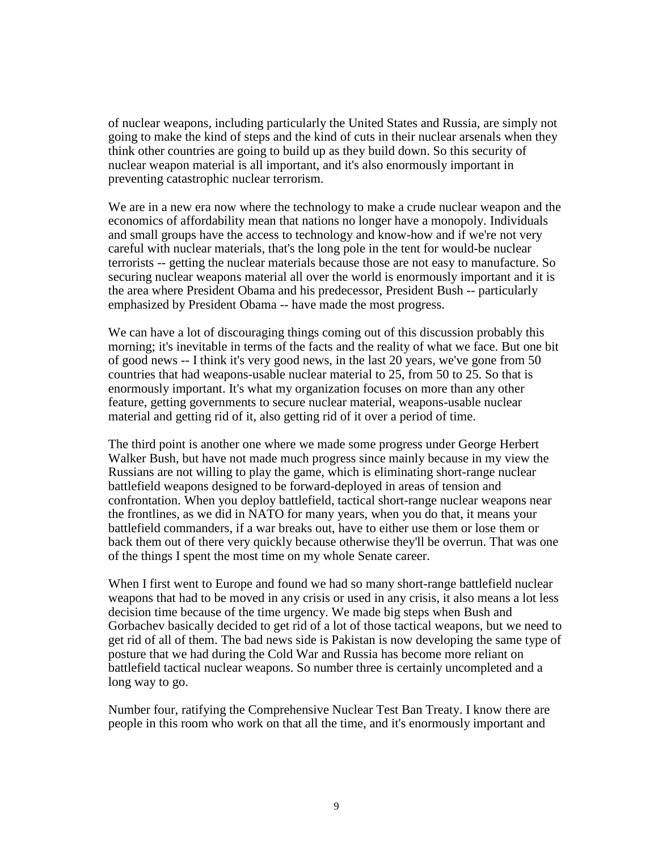of nuclear weapons, including particularly the United States and Russia, are simply not going to make the kind of steps and the kind of cuts in their nuclear arsenals when they think other countries are going to build up as they build down. So this security of nuclear weapon material is all important, and it's also enormously important in preventing catastrophic nuclear terrorism.

We are in a new era now where the technology to make a crude nuclear weapon and the economics of affordability mean that nations no longer have a monopoly. Individuals and small groups have the access to technology and know-how and if we're not very careful with nuclear materials, that's the long pole in the tent for would-be nuclear terrorists -- getting the nuclear materials because those are not easy to manufacture. So securing nuclear weapons material all over the world is enormously important and it is the area where President Obama and his predecessor, President Bush -- particularly emphasized by President Obama -- have made the most progress.

We can have a lot of discouraging things coming out of this discussion probably this morning; it's inevitable in terms of the facts and the reality of what we face. But one bit of good news -- I think it's very good news, in the last 20 years, we've gone from 50 countries that had weapons-usable nuclear material to 25, from 50 to 25. So that is enormously important. It's what my organization focuses on more than any other feature, getting governments to secure nuclear material, weapons-usable nuclear material and getting rid of it, also getting rid of it over a period of time.

The third point is another one where we made some progress under George Herbert Walker Bush, but have not made much progress since mainly because in my view the Russians are not willing to play the game, which is eliminating short-range nuclear battlefield weapons designed to be forward-deployed in areas of tension and confrontation. When you deploy battlefield, tactical short-range nuclear weapons near the frontlines, as we did in NATO for many years, when you do that, it means your battlefield commanders, if a war breaks out, have to either use them or lose them or back them out of there very quickly because otherwise they'll be overrun. That was one of the things I spent the most time on my whole Senate career.

When I first went to Europe and found we had so many short-range battlefield nuclear weapons that had to be moved in any crisis or used in any crisis, it also means a lot less decision time because of the time urgency. We made big steps when Bush and Gorbachev basically decided to get rid of a lot of those tactical weapons, but we need to get rid of all of them. The bad news side is Pakistan is now developing the same type of posture that we had during the Cold War and Russia has become more reliant on battlefield tactical nuclear weapons. So number three is certainly uncompleted and a long way to go.

Number four, ratifying the Comprehensive Nuclear Test Ban Treaty. I know there are people in this room who work on that all the time, and it's enormously important and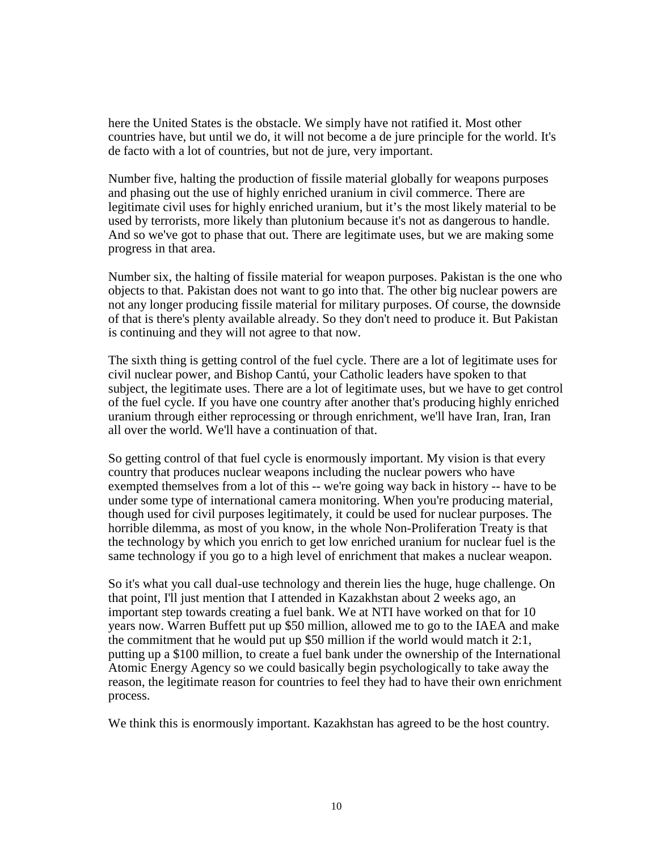here the United States is the obstacle. We simply have not ratified it. Most other countries have, but until we do, it will not become a de jure principle for the world. It's de facto with a lot of countries, but not de jure, very important.

Number five, halting the production of fissile material globally for weapons purposes and phasing out the use of highly enriched uranium in civil commerce. There are legitimate civil uses for highly enriched uranium, but it's the most likely material to be used by terrorists, more likely than plutonium because it's not as dangerous to handle. And so we've got to phase that out. There are legitimate uses, but we are making some progress in that area.

Number six, the halting of fissile material for weapon purposes. Pakistan is the one who objects to that. Pakistan does not want to go into that. The other big nuclear powers are not any longer producing fissile material for military purposes. Of course, the downside of that is there's plenty available already. So they don't need to produce it. But Pakistan is continuing and they will not agree to that now.

The sixth thing is getting control of the fuel cycle. There are a lot of legitimate uses for civil nuclear power, and Bishop Cantú, your Catholic leaders have spoken to that subject, the legitimate uses. There are a lot of legitimate uses, but we have to get control of the fuel cycle. If you have one country after another that's producing highly enriched uranium through either reprocessing or through enrichment, we'll have Iran, Iran, Iran all over the world. We'll have a continuation of that.

So getting control of that fuel cycle is enormously important. My vision is that every country that produces nuclear weapons including the nuclear powers who have exempted themselves from a lot of this -- we're going way back in history -- have to be under some type of international camera monitoring. When you're producing material, though used for civil purposes legitimately, it could be used for nuclear purposes. The horrible dilemma, as most of you know, in the whole Non-Proliferation Treaty is that the technology by which you enrich to get low enriched uranium for nuclear fuel is the same technology if you go to a high level of enrichment that makes a nuclear weapon.

So it's what you call dual-use technology and therein lies the huge, huge challenge. On that point, I'll just mention that I attended in Kazakhstan about 2 weeks ago, an important step towards creating a fuel bank. We at NTI have worked on that for 10 years now. Warren Buffett put up \$50 million, allowed me to go to the IAEA and make the commitment that he would put up \$50 million if the world would match it 2:1, putting up a \$100 million, to create a fuel bank under the ownership of the International Atomic Energy Agency so we could basically begin psychologically to take away the reason, the legitimate reason for countries to feel they had to have their own enrichment process.

We think this is enormously important. Kazakhstan has agreed to be the host country.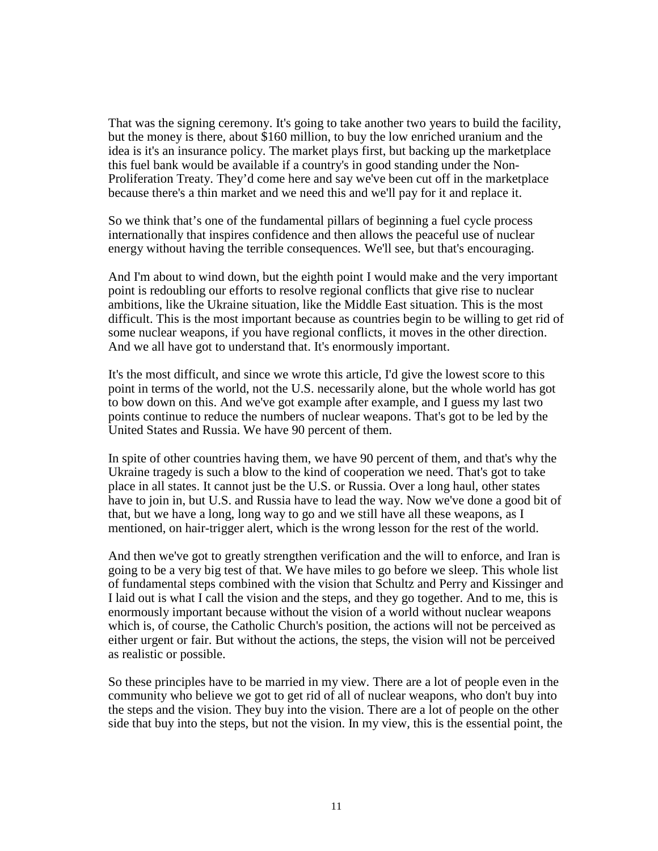That was the signing ceremony. It's going to take another two years to build the facility, but the money is there, about \$160 million, to buy the low enriched uranium and the idea is it's an insurance policy. The market plays first, but backing up the marketplace this fuel bank would be available if a country's in good standing under the Non-Proliferation Treaty. They'd come here and say we've been cut off in the marketplace because there's a thin market and we need this and we'll pay for it and replace it.

So we think that's one of the fundamental pillars of beginning a fuel cycle process internationally that inspires confidence and then allows the peaceful use of nuclear energy without having the terrible consequences. We'll see, but that's encouraging.

And I'm about to wind down, but the eighth point I would make and the very important point is redoubling our efforts to resolve regional conflicts that give rise to nuclear ambitions, like the Ukraine situation, like the Middle East situation. This is the most difficult. This is the most important because as countries begin to be willing to get rid of some nuclear weapons, if you have regional conflicts, it moves in the other direction. And we all have got to understand that. It's enormously important.

It's the most difficult, and since we wrote this article, I'd give the lowest score to this point in terms of the world, not the U.S. necessarily alone, but the whole world has got to bow down on this. And we've got example after example, and I guess my last two points continue to reduce the numbers of nuclear weapons. That's got to be led by the United States and Russia. We have 90 percent of them.

In spite of other countries having them, we have 90 percent of them, and that's why the Ukraine tragedy is such a blow to the kind of cooperation we need. That's got to take place in all states. It cannot just be the U.S. or Russia. Over a long haul, other states have to join in, but U.S. and Russia have to lead the way. Now we've done a good bit of that, but we have a long, long way to go and we still have all these weapons, as I mentioned, on hair-trigger alert, which is the wrong lesson for the rest of the world.

And then we've got to greatly strengthen verification and the will to enforce, and Iran is going to be a very big test of that. We have miles to go before we sleep. This whole list of fundamental steps combined with the vision that Schultz and Perry and Kissinger and I laid out is what I call the vision and the steps, and they go together. And to me, this is enormously important because without the vision of a world without nuclear weapons which is, of course, the Catholic Church's position, the actions will not be perceived as either urgent or fair. But without the actions, the steps, the vision will not be perceived as realistic or possible.

So these principles have to be married in my view. There are a lot of people even in the community who believe we got to get rid of all of nuclear weapons, who don't buy into the steps and the vision. They buy into the vision. There are a lot of people on the other side that buy into the steps, but not the vision. In my view, this is the essential point, the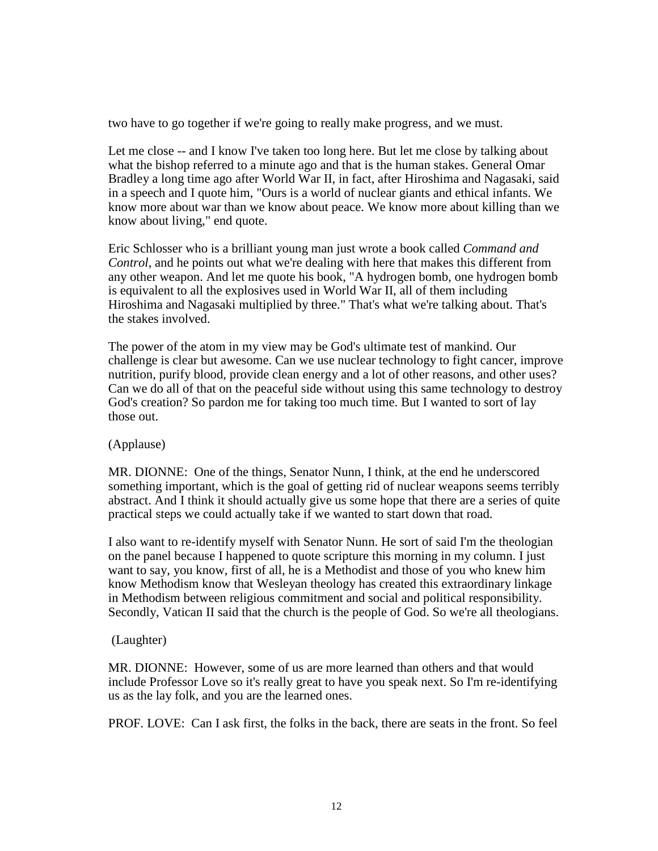two have to go together if we're going to really make progress, and we must.

Let me close -- and I know I've taken too long here. But let me close by talking about what the bishop referred to a minute ago and that is the human stakes. General Omar Bradley a long time ago after World War II, in fact, after Hiroshima and Nagasaki, said in a speech and I quote him, "Ours is a world of nuclear giants and ethical infants. We know more about war than we know about peace. We know more about killing than we know about living," end quote.

Eric Schlosser who is a brilliant young man just wrote a book called *Command and Control*, and he points out what we're dealing with here that makes this different from any other weapon. And let me quote his book, "A hydrogen bomb, one hydrogen bomb is equivalent to all the explosives used in World War II, all of them including Hiroshima and Nagasaki multiplied by three." That's what we're talking about. That's the stakes involved.

The power of the atom in my view may be God's ultimate test of mankind. Our challenge is clear but awesome. Can we use nuclear technology to fight cancer, improve nutrition, purify blood, provide clean energy and a lot of other reasons, and other uses? Can we do all of that on the peaceful side without using this same technology to destroy God's creation? So pardon me for taking too much time. But I wanted to sort of lay those out.

### (Applause)

MR. DIONNE: One of the things, Senator Nunn, I think, at the end he underscored something important, which is the goal of getting rid of nuclear weapons seems terribly abstract. And I think it should actually give us some hope that there are a series of quite practical steps we could actually take if we wanted to start down that road.

I also want to re-identify myself with Senator Nunn. He sort of said I'm the theologian on the panel because I happened to quote scripture this morning in my column. I just want to say, you know, first of all, he is a Methodist and those of you who knew him know Methodism know that Wesleyan theology has created this extraordinary linkage in Methodism between religious commitment and social and political responsibility. Secondly, Vatican II said that the church is the people of God. So we're all theologians.

### (Laughter)

MR. DIONNE: However, some of us are more learned than others and that would include Professor Love so it's really great to have you speak next. So I'm re-identifying us as the lay folk, and you are the learned ones.

PROF. LOVE: Can I ask first, the folks in the back, there are seats in the front. So feel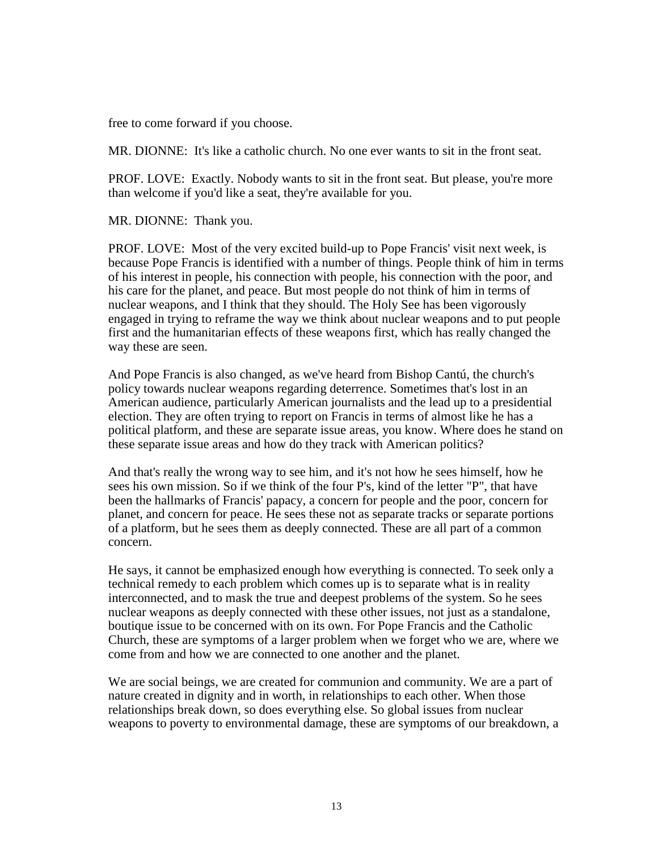free to come forward if you choose.

MR. DIONNE: It's like a catholic church. No one ever wants to sit in the front seat.

PROF. LOVE: Exactly. Nobody wants to sit in the front seat. But please, you're more than welcome if you'd like a seat, they're available for you.

MR. DIONNE: Thank you.

PROF. LOVE: Most of the very excited build-up to Pope Francis' visit next week, is because Pope Francis is identified with a number of things. People think of him in terms of his interest in people, his connection with people, his connection with the poor, and his care for the planet, and peace. But most people do not think of him in terms of nuclear weapons, and I think that they should. The Holy See has been vigorously engaged in trying to reframe the way we think about nuclear weapons and to put people first and the humanitarian effects of these weapons first, which has really changed the way these are seen.

And Pope Francis is also changed, as we've heard from Bishop Cantú, the church's policy towards nuclear weapons regarding deterrence. Sometimes that's lost in an American audience, particularly American journalists and the lead up to a presidential election. They are often trying to report on Francis in terms of almost like he has a political platform, and these are separate issue areas, you know. Where does he stand on these separate issue areas and how do they track with American politics?

And that's really the wrong way to see him, and it's not how he sees himself, how he sees his own mission. So if we think of the four P's, kind of the letter "P", that have been the hallmarks of Francis' papacy, a concern for people and the poor, concern for planet, and concern for peace. He sees these not as separate tracks or separate portions of a platform, but he sees them as deeply connected. These are all part of a common concern.

He says, it cannot be emphasized enough how everything is connected. To seek only a technical remedy to each problem which comes up is to separate what is in reality interconnected, and to mask the true and deepest problems of the system. So he sees nuclear weapons as deeply connected with these other issues, not just as a standalone, boutique issue to be concerned with on its own. For Pope Francis and the Catholic Church, these are symptoms of a larger problem when we forget who we are, where we come from and how we are connected to one another and the planet.

We are social beings, we are created for communion and community. We are a part of nature created in dignity and in worth, in relationships to each other. When those relationships break down, so does everything else. So global issues from nuclear weapons to poverty to environmental damage, these are symptoms of our breakdown, a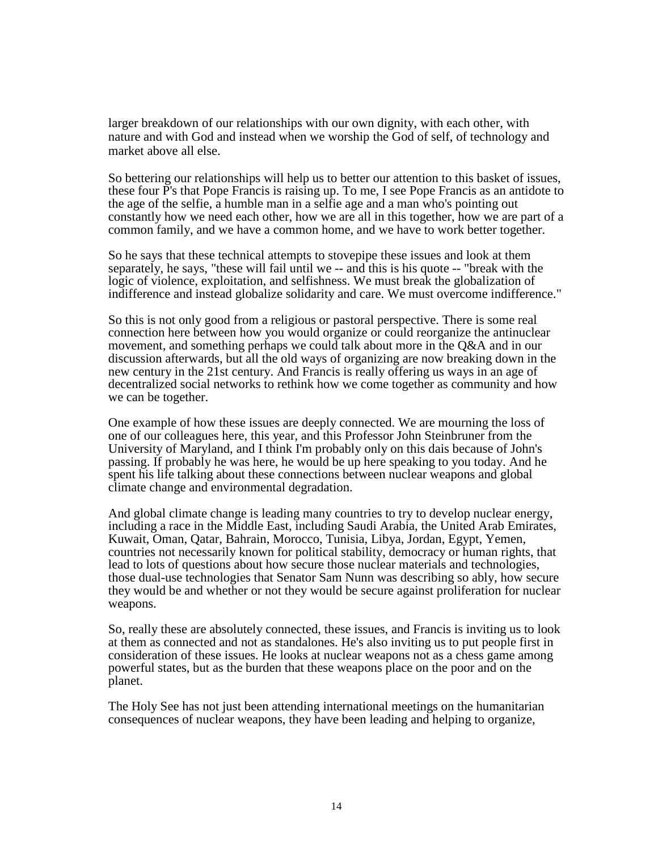larger breakdown of our relationships with our own dignity, with each other, with nature and with God and instead when we worship the God of self, of technology and market above all else.

So bettering our relationships will help us to better our attention to this basket of issues, these four P's that Pope Francis is raising up. To me, I see Pope Francis as an antidote to the age of the selfie, a humble man in a selfie age and a man who's pointing out constantly how we need each other, how we are all in this together, how we are part of a common family, and we have a common home, and we have to work better together.

So he says that these technical attempts to stovepipe these issues and look at them separately, he says, "these will fail until we -- and this is his quote -- "break with the logic of violence, exploitation, and selfishness. We must break the globalization of indifference and instead globalize solidarity and care. We must overcome indifference."

So this is not only good from a religious or pastoral perspective. There is some real connection here between how you would organize or could reorganize the antinuclear movement, and something perhaps we could talk about more in the Q&A and in our discussion afterwards, but all the old ways of organizing are now breaking down in the new century in the 21st century. And Francis is really offering us ways in an age of decentralized social networks to rethink how we come together as community and how we can be together.

One example of how these issues are deeply connected. We are mourning the loss of one of our colleagues here, this year, and this Professor John Steinbruner from the University of Maryland, and I think I'm probably only on this dais because of John's passing. If probably he was here, he would be up here speaking to you today. And he spent his life talking about these connections between nuclear weapons and global climate change and environmental degradation.

And global climate change is leading many countries to try to develop nuclear energy, including a race in the Middle East, including Saudi Arabia, the United Arab Emirates, Kuwait, Oman, Qatar, Bahrain, Morocco, Tunisia, Libya, Jordan, Egypt, Yemen, countries not necessarily known for political stability, democracy or human rights, that lead to lots of questions about how secure those nuclear materials and technologies, those dual-use technologies that Senator Sam Nunn was describing so ably, how secure they would be and whether or not they would be secure against proliferation for nuclear weapons.

So, really these are absolutely connected, these issues, and Francis is inviting us to look at them as connected and not as standalones. He's also inviting us to put people first in consideration of these issues. He looks at nuclear weapons not as a chess game among powerful states, but as the burden that these weapons place on the poor and on the planet.

The Holy See has not just been attending international meetings on the humanitarian consequences of nuclear weapons, they have been leading and helping to organize,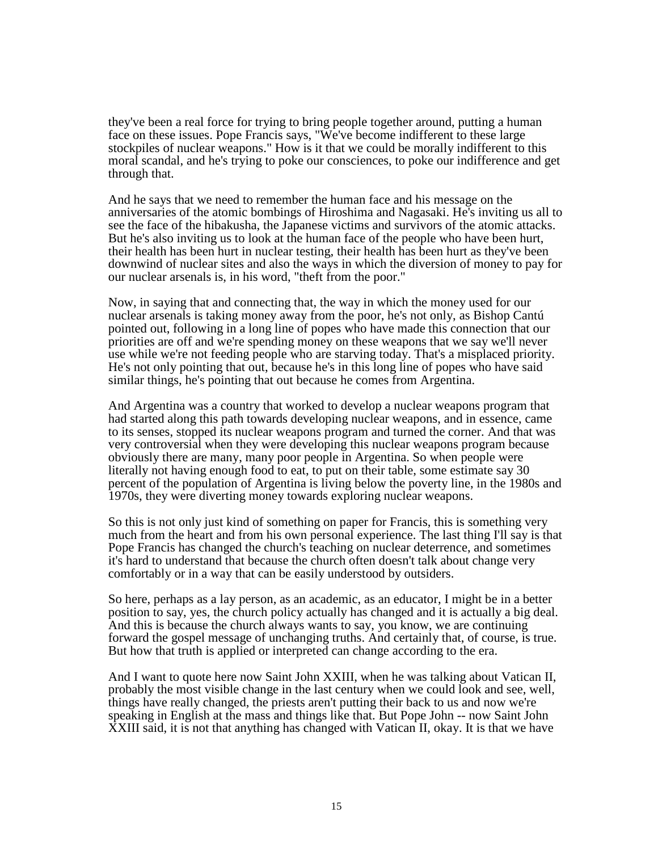they've been a real force for trying to bring people together around, putting a human face on these issues. Pope Francis says, "We've become indifferent to these large stockpiles of nuclear weapons." How is it that we could be morally indifferent to this moral scandal, and he's trying to poke our consciences, to poke our indifference and get through that.

And he says that we need to remember the human face and his message on the anniversaries of the atomic bombings of Hiroshima and Nagasaki. He's inviting us all to see the face of the hibakusha, the Japanese victims and survivors of the atomic attacks. But he's also inviting us to look at the human face of the people who have been hurt, their health has been hurt in nuclear testing, their health has been hurt as they've been downwind of nuclear sites and also the ways in which the diversion of money to pay for our nuclear arsenals is, in his word, "theft from the poor."

Now, in saying that and connecting that, the way in which the money used for our nuclear arsenals is taking money away from the poor, he's not only, as Bishop Cantú pointed out, following in a long line of popes who have made this connection that our priorities are off and we're spending money on these weapons that we say we'll never use while we're not feeding people who are starving today. That's a misplaced priority. He's not only pointing that out, because he's in this long line of popes who have said similar things, he's pointing that out because he comes from Argentina.

And Argentina was a country that worked to develop a nuclear weapons program that had started along this path towards developing nuclear weapons, and in essence, came to its senses, stopped its nuclear weapons program and turned the corner. And that was very controversial when they were developing this nuclear weapons program because obviously there are many, many poor people in Argentina. So when people were literally not having enough food to eat, to put on their table, some estimate say 30 percent of the population of Argentina is living below the poverty line, in the 1980s and 1970s, they were diverting money towards exploring nuclear weapons.

So this is not only just kind of something on paper for Francis, this is something very much from the heart and from his own personal experience. The last thing I'll say is that Pope Francis has changed the church's teaching on nuclear deterrence, and sometimes it's hard to understand that because the church often doesn't talk about change very comfortably or in a way that can be easily understood by outsiders.

So here, perhaps as a lay person, as an academic, as an educator, I might be in a better position to say, yes, the church policy actually has changed and it is actually a big deal. And this is because the church always wants to say, you know, we are continuing forward the gospel message of unchanging truths. And certainly that, of course, is true. But how that truth is applied or interpreted can change according to the era.

And I want to quote here now Saint John XXIII, when he was talking about Vatican II, probably the most visible change in the last century when we could look and see, well, things have really changed, the priests aren't putting their back to us and now we're speaking in English at the mass and things like that. But Pope John -- now Saint John XXIII said, it is not that anything has changed with Vatican II, okay. It is that we have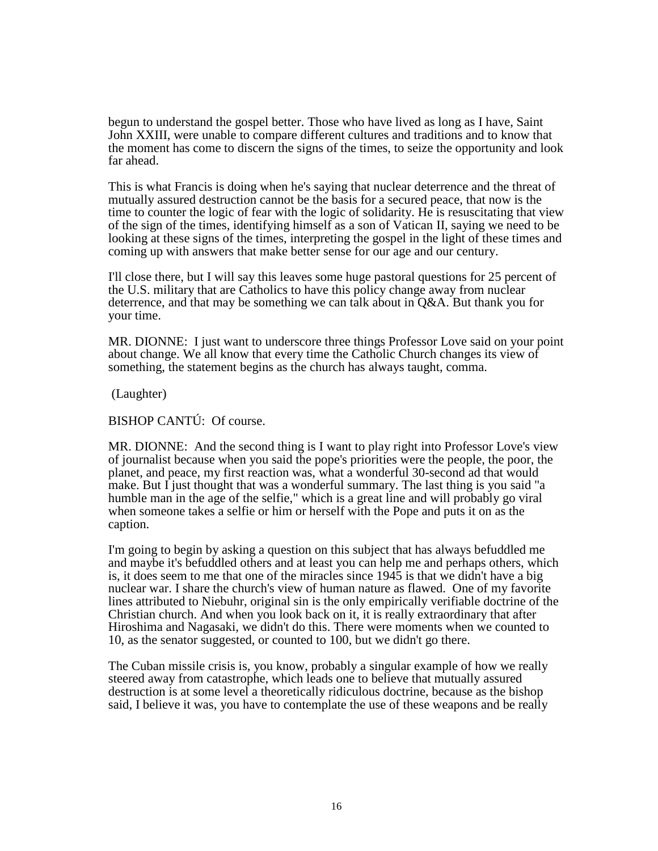begun to understand the gospel better. Those who have lived as long as I have, Saint John XXIII, were unable to compare different cultures and traditions and to know that the moment has come to discern the signs of the times, to seize the opportunity and look far ahead.

This is what Francis is doing when he's saying that nuclear deterrence and the threat of mutually assured destruction cannot be the basis for a secured peace, that now is the time to counter the logic of fear with the logic of solidarity. He is resuscitating that view of the sign of the times, identifying himself as a son of Vatican II, saying we need to be looking at these signs of the times, interpreting the gospel in the light of these times and coming up with answers that make better sense for our age and our century.

I'll close there, but I will say this leaves some huge pastoral questions for 25 percent of the U.S. military that are Catholics to have this policy change away from nuclear deterrence, and that may be something we can talk about in Q&A. But thank you for your time.

MR. DIONNE: I just want to underscore three things Professor Love said on your point about change. We all know that every time the Catholic Church changes its view of something, the statement begins as the church has always taught, comma.

(Laughter)

BISHOP CANTÚ: Of course.

MR. DIONNE: And the second thing is I want to play right into Professor Love's view of journalist because when you said the pope's priorities were the people, the poor, the planet, and peace, my first reaction was, what a wonderful 30-second ad that would make. But I just thought that was a wonderful summary. The last thing is you said "a humble man in the age of the selfie," which is a great line and will probably go viral when someone takes a selfie or him or herself with the Pope and puts it on as the caption.

I'm going to begin by asking a question on this subject that has always befuddled me and maybe it's befuddled others and at least you can help me and perhaps others, which is, it does seem to me that one of the miracles since 1945 is that we didn't have a big nuclear war. I share the church's view of human nature as flawed. One of my favorite lines attributed to Niebuhr, original sin is the only empirically verifiable doctrine of the Christian church. And when you look back on it, it is really extraordinary that after Hiroshima and Nagasaki, we didn't do this. There were moments when we counted to 10, as the senator suggested, or counted to 100, but we didn't go there.

The Cuban missile crisis is, you know, probably a singular example of how we really steered away from catastrophe, which leads one to believe that mutually assured destruction is at some level a theoretically ridiculous doctrine, because as the bishop said, I believe it was, you have to contemplate the use of these weapons and be really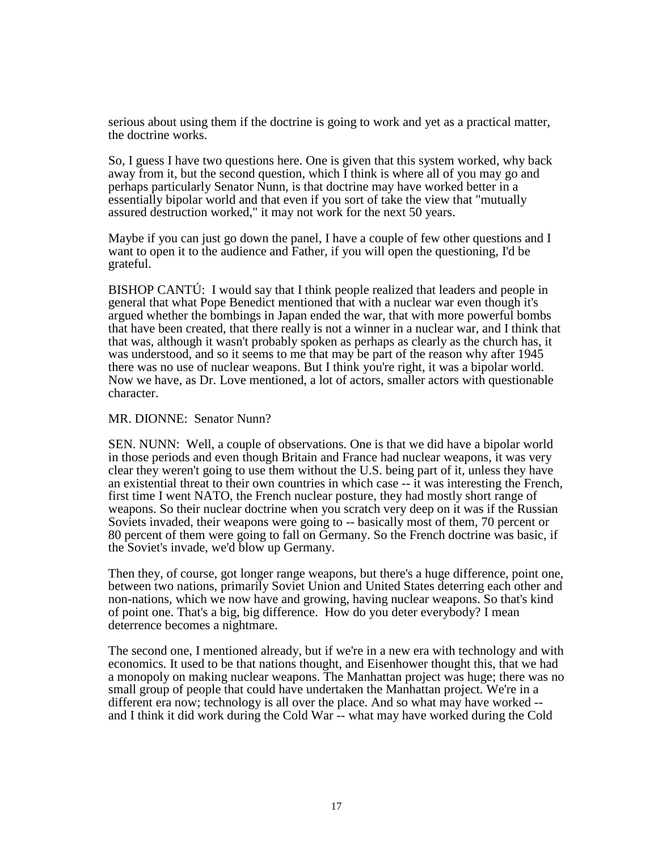serious about using them if the doctrine is going to work and yet as a practical matter, the doctrine works.

So, I guess I have two questions here. One is given that this system worked, why back away from it, but the second question, which I think is where all of you may go and perhaps particularly Senator Nunn, is that doctrine may have worked better in a essentially bipolar world and that even if you sort of take the view that "mutually assured destruction worked," it may not work for the next 50 years.

Maybe if you can just go down the panel, I have a couple of few other questions and I want to open it to the audience and Father, if you will open the questioning, I'd be grateful.

BISHOP CANTÚ:I would say that I think people realized that leaders and people in general that what Pope Benedict mentioned that with a nuclear war even though it's argued whether the bombings in Japan ended the war, that with more powerful bombs that have been created, that there really is not a winner in a nuclear war, and I think that that was, although it wasn't probably spoken as perhaps as clearly as the church has, it was understood, and so it seems to me that may be part of the reason why after 1945 there was no use of nuclear weapons. But I think you're right, it was a bipolar world. Now we have, as Dr. Love mentioned, a lot of actors, smaller actors with questionable character.

#### MR. DIONNE: Senator Nunn?

SEN. NUNN:Well, a couple of observations. One is that we did have a bipolar world in those periods and even though Britain and France had nuclear weapons, it was very clear they weren't going to use them without the U.S. being part of it, unless they have an existential threat to their own countries in which case -- it was interesting the French, first time I went NATO, the French nuclear posture, they had mostly short range of weapons. So their nuclear doctrine when you scratch very deep on it was if the Russian Soviets invaded, their weapons were going to -- basically most of them, 70 percent or 80 percent of them were going to fall on Germany. So the French doctrine was basic, if the Soviet's invade, we'd blow up Germany.

Then they, of course, got longer range weapons, but there's a huge difference, point one, between two nations, primarily Soviet Union and United States deterring each other and non-nations, which we now have and growing, having nuclear weapons. So that's kind of point one. That's a big, big difference. How do you deter everybody? I mean deterrence becomes a nightmare.

The second one, I mentioned already, but if we're in a new era with technology and with economics. It used to be that nations thought, and Eisenhower thought this, that we had a monopoly on making nuclear weapons. The Manhattan project was huge; there was no small group of people that could have undertaken the Manhattan project. We're in a different era now; technology is all over the place. And so what may have worked -and I think it did work during the Cold War -- what may have worked during the Cold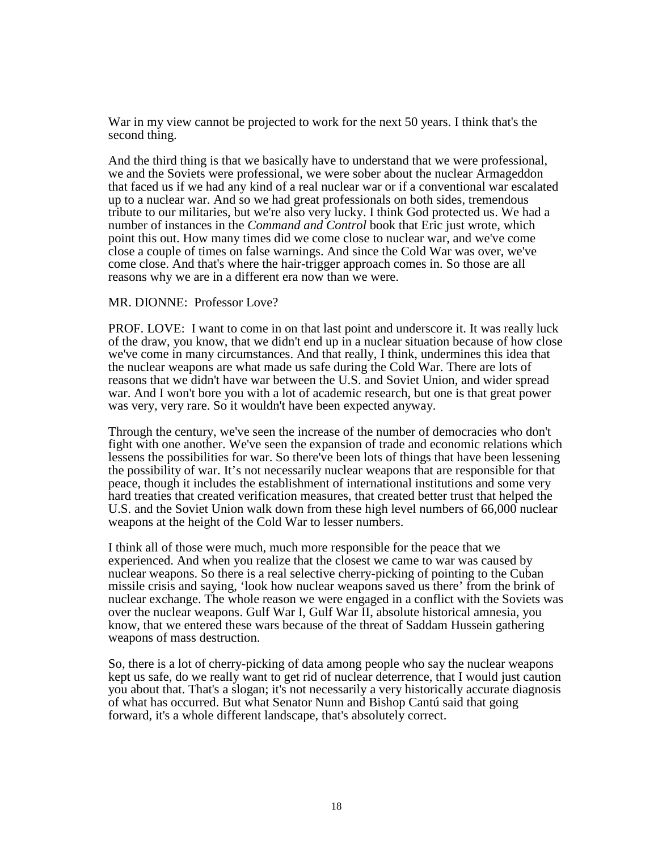War in my view cannot be projected to work for the next 50 years. I think that's the second thing.

And the third thing is that we basically have to understand that we were professional, we and the Soviets were professional, we were sober about the nuclear Armageddon that faced us if we had any kind of a real nuclear war or if a conventional war escalated up to a nuclear war. And so we had great professionals on both sides, tremendous tribute to our militaries, but we're also very lucky. I think God protected us. We had a number of instances in the *Command and Control* book that Eric just wrote, which point this out. How many times did we come close to nuclear war, and we've come close a couple of times on false warnings. And since the Cold War was over, we've come close. And that's where the hair-trigger approach comes in. So those are all reasons why we are in a different era now than we were.

#### MR. DIONNE: Professor Love?

PROF. LOVE:I want to come in on that last point and underscore it. It was really luck of the draw, you know, that we didn't end up in a nuclear situation because of how close we've come in many circumstances. And that really, I think, undermines this idea that the nuclear weapons are what made us safe during the Cold War. There are lots of reasons that we didn't have war between the U.S. and Soviet Union, and wider spread war. And I won't bore you with a lot of academic research, but one is that great power was very, very rare. So it wouldn't have been expected anyway.

Through the century, we've seen the increase of the number of democracies who don't fight with one another. We've seen the expansion of trade and economic relations which lessens the possibilities for war. So there've been lots of things that have been lessening the possibility of war. It's not necessarily nuclear weapons that are responsible for that peace, though it includes the establishment of international institutions and some very hard treaties that created verification measures, that created better trust that helped the U.S. and the Soviet Union walk down from these high level numbers of 66,000 nuclear weapons at the height of the Cold War to lesser numbers.

I think all of those were much, much more responsible for the peace that we experienced. And when you realize that the closest we came to war was caused by nuclear weapons. So there is a real selective cherry-picking of pointing to the Cuban missile crisis and saying, 'look how nuclear weapons saved us there' from the brink of nuclear exchange. The whole reason we were engaged in a conflict with the Soviets was over the nuclear weapons. Gulf War I, Gulf War II, absolute historical amnesia, you know, that we entered these wars because of the threat of Saddam Hussein gathering weapons of mass destruction.

So, there is a lot of cherry-picking of data among people who say the nuclear weapons kept us safe, do we really want to get rid of nuclear deterrence, that I would just caution you about that. That's a slogan; it's not necessarily a very historically accurate diagnosis of what has occurred. But what Senator Nunn and Bishop Cantú said that going forward, it's a whole different landscape, that's absolutely correct.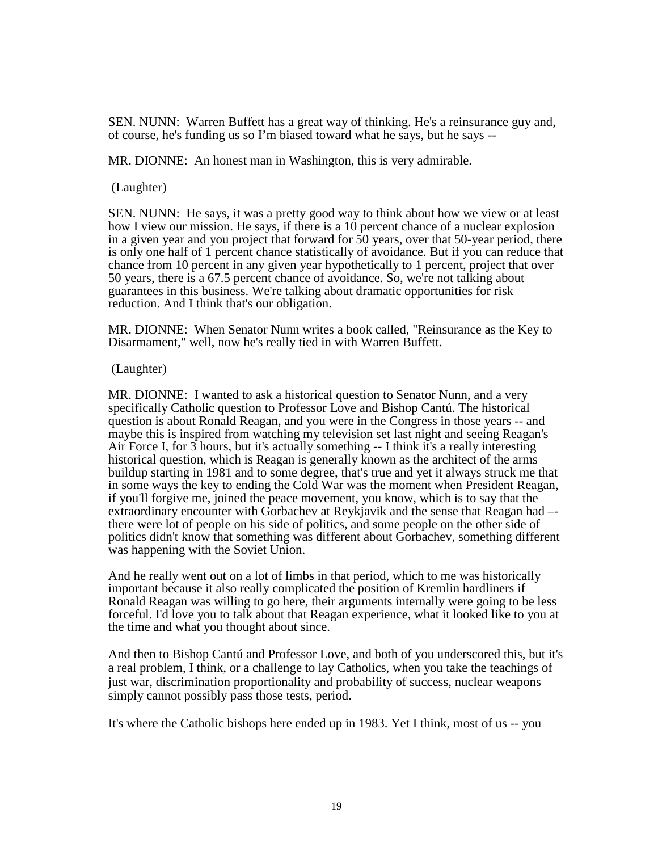SEN. NUNN: Warren Buffett has a great way of thinking. He's a reinsurance guy and, of course, he's funding us so I'm biased toward what he says, but he says --

MR. DIONNE: An honest man in Washington, this is very admirable.

(Laughter)

SEN. NUNN:He says, it was a pretty good way to think about how we view or at least how I view our mission. He says, if there is a 10 percent chance of a nuclear explosion in a given year and you project that forward for 50 years, over that 50-year period, there is only one half of 1 percent chance statistically of avoidance. But if you can reduce that chance from 10 percent in any given year hypothetically to 1 percent, project that over 50 years, there is a 67.5 percent chance of avoidance. So, we're not talking about guarantees in this business. We're talking about dramatic opportunities for risk reduction. And I think that's our obligation.

MR. DIONNE: When Senator Nunn writes a book called, "Reinsurance as the Key to Disarmament," well, now he's really tied in with Warren Buffett.

(Laughter)

MR. DIONNE: I wanted to ask a historical question to Senator Nunn, and a very specifically Catholic question to Professor Love and Bishop Cantú. The historical question is about Ronald Reagan, and you were in the Congress in those years -- and maybe this is inspired from watching my television set last night and seeing Reagan's Air Force I, for 3 hours, but it's actually something -- I think it's a really interesting historical question, which is Reagan is generally known as the architect of the arms buildup starting in 1981 and to some degree, that's true and yet it always struck me that in some ways the key to ending the Cold War was the moment when President Reagan, if you'll forgive me, joined the peace movement, you know, which is to say that the extraordinary encounter with Gorbachev at Reykjavik and the sense that Reagan had – there were lot of people on his side of politics, and some people on the other side of politics didn't know that something was different about Gorbachev, something different was happening with the Soviet Union.

And he really went out on a lot of limbs in that period, which to me was historically important because it also really complicated the position of Kremlin hardliners if Ronald Reagan was willing to go here, their arguments internally were going to be less forceful. I'd love you to talk about that Reagan experience, what it looked like to you at the time and what you thought about since.

And then to Bishop Cantú and Professor Love, and both of you underscored this, but it's a real problem, I think, or a challenge to lay Catholics, when you take the teachings of just war, discrimination proportionality and probability of success, nuclear weapons simply cannot possibly pass those tests, period.

It's where the Catholic bishops here ended up in 1983. Yet I think, most of us -- you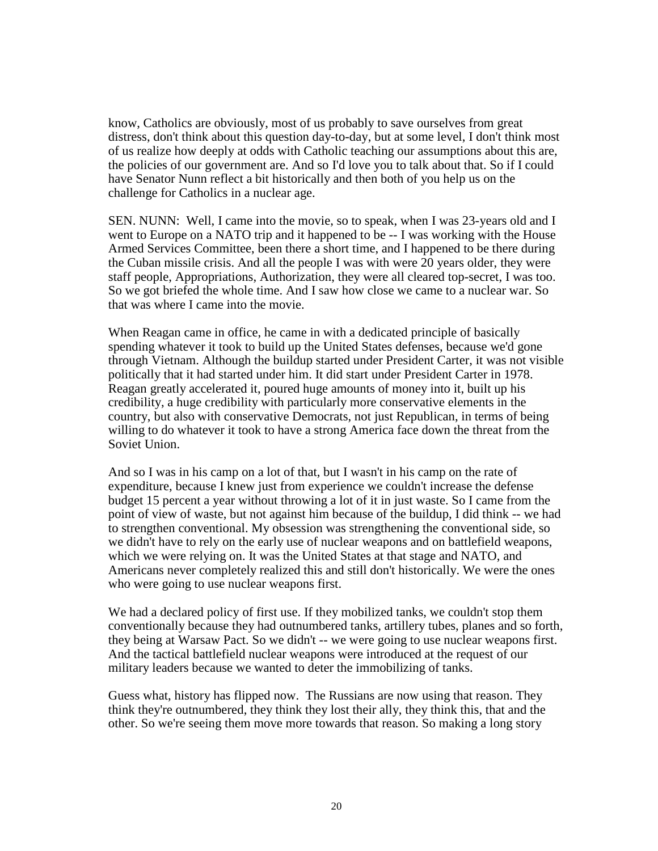know, Catholics are obviously, most of us probably to save ourselves from great distress, don't think about this question day-to-day, but at some level, I don't think most of us realize how deeply at odds with Catholic teaching our assumptions about this are, the policies of our government are. And so I'd love you to talk about that. So if I could have Senator Nunn reflect a bit historically and then both of you help us on the challenge for Catholics in a nuclear age.

SEN. NUNN: Well, I came into the movie, so to speak, when I was 23-years old and I went to Europe on a NATO trip and it happened to be -- I was working with the House Armed Services Committee, been there a short time, and I happened to be there during the Cuban missile crisis. And all the people I was with were 20 years older, they were staff people, Appropriations, Authorization, they were all cleared top-secret, I was too. So we got briefed the whole time. And I saw how close we came to a nuclear war. So that was where I came into the movie.

When Reagan came in office, he came in with a dedicated principle of basically spending whatever it took to build up the United States defenses, because we'd gone through Vietnam. Although the buildup started under President Carter, it was not visible politically that it had started under him. It did start under President Carter in 1978. Reagan greatly accelerated it, poured huge amounts of money into it, built up his credibility, a huge credibility with particularly more conservative elements in the country, but also with conservative Democrats, not just Republican, in terms of being willing to do whatever it took to have a strong America face down the threat from the Soviet Union.

And so I was in his camp on a lot of that, but I wasn't in his camp on the rate of expenditure, because I knew just from experience we couldn't increase the defense budget 15 percent a year without throwing a lot of it in just waste. So I came from the point of view of waste, but not against him because of the buildup, I did think -- we had to strengthen conventional. My obsession was strengthening the conventional side, so we didn't have to rely on the early use of nuclear weapons and on battlefield weapons, which we were relying on. It was the United States at that stage and NATO, and Americans never completely realized this and still don't historically. We were the ones who were going to use nuclear weapons first.

We had a declared policy of first use. If they mobilized tanks, we couldn't stop them conventionally because they had outnumbered tanks, artillery tubes, planes and so forth, they being at Warsaw Pact. So we didn't -- we were going to use nuclear weapons first. And the tactical battlefield nuclear weapons were introduced at the request of our military leaders because we wanted to deter the immobilizing of tanks.

Guess what, history has flipped now. The Russians are now using that reason. They think they're outnumbered, they think they lost their ally, they think this, that and the other. So we're seeing them move more towards that reason. So making a long story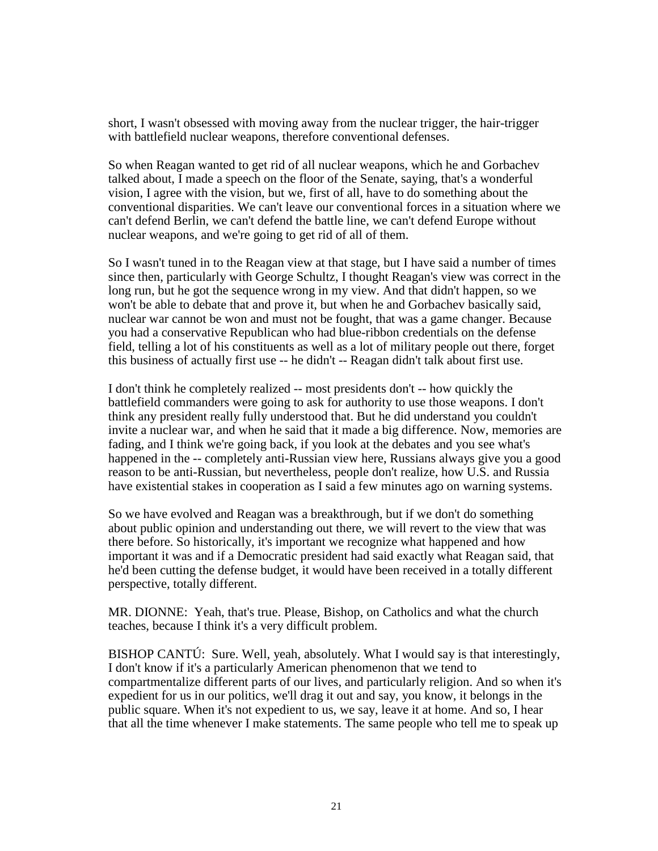short, I wasn't obsessed with moving away from the nuclear trigger, the hair-trigger with battlefield nuclear weapons, therefore conventional defenses.

So when Reagan wanted to get rid of all nuclear weapons, which he and Gorbachev talked about, I made a speech on the floor of the Senate, saying, that's a wonderful vision, I agree with the vision, but we, first of all, have to do something about the conventional disparities. We can't leave our conventional forces in a situation where we can't defend Berlin, we can't defend the battle line, we can't defend Europe without nuclear weapons, and we're going to get rid of all of them.

So I wasn't tuned in to the Reagan view at that stage, but I have said a number of times since then, particularly with George Schultz, I thought Reagan's view was correct in the long run, but he got the sequence wrong in my view. And that didn't happen, so we won't be able to debate that and prove it, but when he and Gorbachev basically said, nuclear war cannot be won and must not be fought, that was a game changer. Because you had a conservative Republican who had blue-ribbon credentials on the defense field, telling a lot of his constituents as well as a lot of military people out there, forget this business of actually first use -- he didn't -- Reagan didn't talk about first use.

I don't think he completely realized -- most presidents don't -- how quickly the battlefield commanders were going to ask for authority to use those weapons. I don't think any president really fully understood that. But he did understand you couldn't invite a nuclear war, and when he said that it made a big difference. Now, memories are fading, and I think we're going back, if you look at the debates and you see what's happened in the -- completely anti-Russian view here, Russians always give you a good reason to be anti-Russian, but nevertheless, people don't realize, how U.S. and Russia have existential stakes in cooperation as I said a few minutes ago on warning systems.

So we have evolved and Reagan was a breakthrough, but if we don't do something about public opinion and understanding out there, we will revert to the view that was there before. So historically, it's important we recognize what happened and how important it was and if a Democratic president had said exactly what Reagan said, that he'd been cutting the defense budget, it would have been received in a totally different perspective, totally different.

MR. DIONNE: Yeah, that's true. Please, Bishop, on Catholics and what the church teaches, because I think it's a very difficult problem.

BISHOP CANTÚ: Sure. Well, yeah, absolutely. What I would say is that interestingly, I don't know if it's a particularly American phenomenon that we tend to compartmentalize different parts of our lives, and particularly religion. And so when it's expedient for us in our politics, we'll drag it out and say, you know, it belongs in the public square. When it's not expedient to us, we say, leave it at home. And so, I hear that all the time whenever I make statements. The same people who tell me to speak up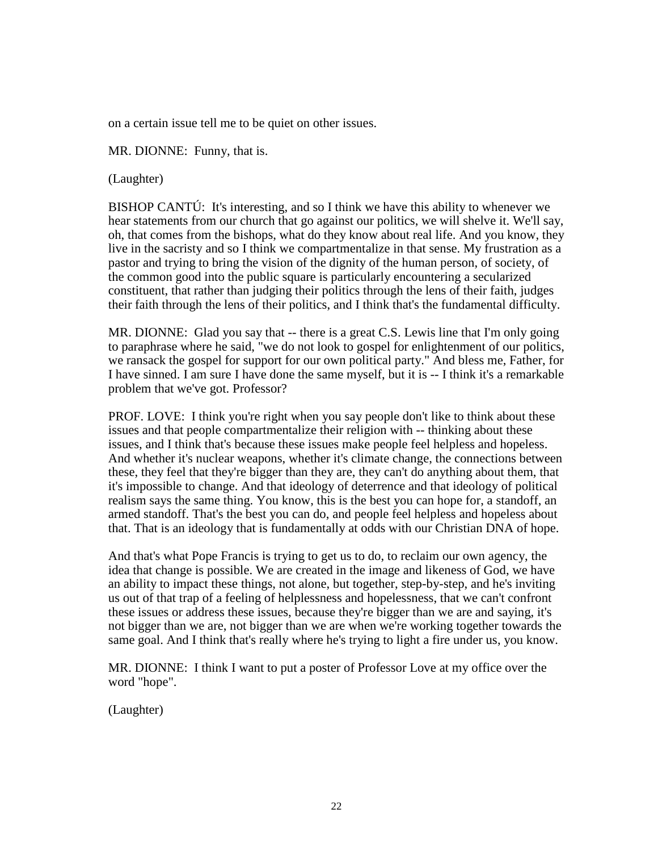on a certain issue tell me to be quiet on other issues.

MR. DIONNE: Funny, that is.

(Laughter)

BISHOP CANTÚ: It's interesting, and so I think we have this ability to whenever we hear statements from our church that go against our politics, we will shelve it. We'll say, oh, that comes from the bishops, what do they know about real life. And you know, they live in the sacristy and so I think we compartmentalize in that sense. My frustration as a pastor and trying to bring the vision of the dignity of the human person, of society, of the common good into the public square is particularly encountering a secularized constituent, that rather than judging their politics through the lens of their faith, judges their faith through the lens of their politics, and I think that's the fundamental difficulty.

MR. DIONNE: Glad you say that -- there is a great C.S. Lewis line that I'm only going to paraphrase where he said, "we do not look to gospel for enlightenment of our politics, we ransack the gospel for support for our own political party." And bless me, Father, for I have sinned. I am sure I have done the same myself, but it is -- I think it's a remarkable problem that we've got. Professor?

PROF. LOVE: I think you're right when you say people don't like to think about these issues and that people compartmentalize their religion with -- thinking about these issues, and I think that's because these issues make people feel helpless and hopeless. And whether it's nuclear weapons, whether it's climate change, the connections between these, they feel that they're bigger than they are, they can't do anything about them, that it's impossible to change. And that ideology of deterrence and that ideology of political realism says the same thing. You know, this is the best you can hope for, a standoff, an armed standoff. That's the best you can do, and people feel helpless and hopeless about that. That is an ideology that is fundamentally at odds with our Christian DNA of hope.

And that's what Pope Francis is trying to get us to do, to reclaim our own agency, the idea that change is possible. We are created in the image and likeness of God, we have an ability to impact these things, not alone, but together, step-by-step, and he's inviting us out of that trap of a feeling of helplessness and hopelessness, that we can't confront these issues or address these issues, because they're bigger than we are and saying, it's not bigger than we are, not bigger than we are when we're working together towards the same goal. And I think that's really where he's trying to light a fire under us, you know.

MR. DIONNE: I think I want to put a poster of Professor Love at my office over the word "hope".

(Laughter)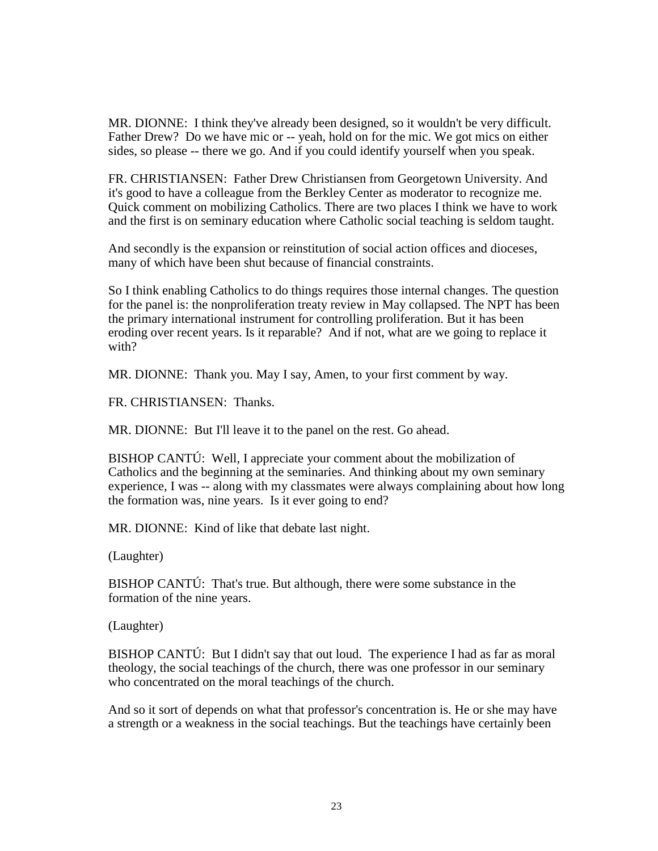MR. DIONNE: I think they've already been designed, so it wouldn't be very difficult. Father Drew? Do we have mic or -- yeah, hold on for the mic. We got mics on either sides, so please -- there we go. And if you could identify yourself when you speak.

FR. CHRISTIANSEN: Father Drew Christiansen from Georgetown University. And it's good to have a colleague from the Berkley Center as moderator to recognize me. Quick comment on mobilizing Catholics. There are two places I think we have to work and the first is on seminary education where Catholic social teaching is seldom taught.

And secondly is the expansion or reinstitution of social action offices and dioceses, many of which have been shut because of financial constraints.

So I think enabling Catholics to do things requires those internal changes. The question for the panel is: the nonproliferation treaty review in May collapsed. The NPT has been the primary international instrument for controlling proliferation. But it has been eroding over recent years. Is it reparable? And if not, what are we going to replace it with?

MR. DIONNE: Thank you. May I say, Amen, to your first comment by way.

FR. CHRISTIANSEN: Thanks.

MR. DIONNE: But I'll leave it to the panel on the rest. Go ahead.

BISHOP CANTÚ: Well, I appreciate your comment about the mobilization of Catholics and the beginning at the seminaries. And thinking about my own seminary experience, I was -- along with my classmates were always complaining about how long the formation was, nine years. Is it ever going to end?

MR. DIONNE: Kind of like that debate last night.

(Laughter)

BISHOP CANTÚ: That's true. But although, there were some substance in the formation of the nine years.

(Laughter)

BISHOP CANTÚ: But I didn't say that out loud. The experience I had as far as moral theology, the social teachings of the church, there was one professor in our seminary who concentrated on the moral teachings of the church.

And so it sort of depends on what that professor's concentration is. He or she may have a strength or a weakness in the social teachings. But the teachings have certainly been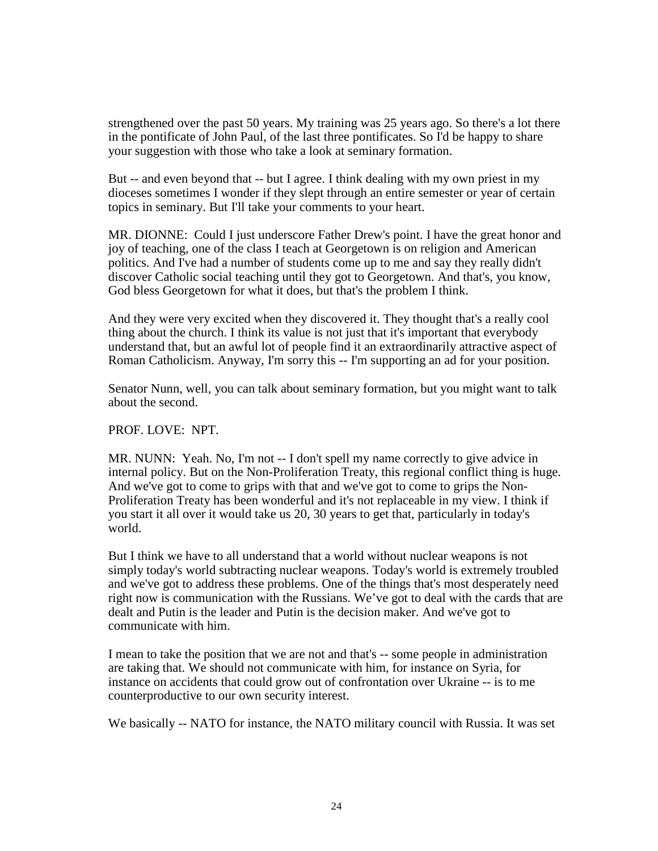strengthened over the past 50 years. My training was 25 years ago. So there's a lot there in the pontificate of John Paul, of the last three pontificates. So I'd be happy to share your suggestion with those who take a look at seminary formation.

But -- and even beyond that -- but I agree. I think dealing with my own priest in my dioceses sometimes I wonder if they slept through an entire semester or year of certain topics in seminary. But I'll take your comments to your heart.

MR. DIONNE: Could I just underscore Father Drew's point. I have the great honor and joy of teaching, one of the class I teach at Georgetown is on religion and American politics. And I've had a number of students come up to me and say they really didn't discover Catholic social teaching until they got to Georgetown. And that's, you know, God bless Georgetown for what it does, but that's the problem I think.

And they were very excited when they discovered it. They thought that's a really cool thing about the church. I think its value is not just that it's important that everybody understand that, but an awful lot of people find it an extraordinarily attractive aspect of Roman Catholicism. Anyway, I'm sorry this -- I'm supporting an ad for your position.

Senator Nunn, well, you can talk about seminary formation, but you might want to talk about the second.

#### PROF. LOVE: NPT.

MR. NUNN: Yeah. No, I'm not -- I don't spell my name correctly to give advice in internal policy. But on the Non-Proliferation Treaty, this regional conflict thing is huge. And we've got to come to grips with that and we've got to come to grips the Non-Proliferation Treaty has been wonderful and it's not replaceable in my view. I think if you start it all over it would take us 20, 30 years to get that, particularly in today's world.

But I think we have to all understand that a world without nuclear weapons is not simply today's world subtracting nuclear weapons. Today's world is extremely troubled and we've got to address these problems. One of the things that's most desperately need right now is communication with the Russians. We've got to deal with the cards that are dealt and Putin is the leader and Putin is the decision maker. And we've got to communicate with him.

I mean to take the position that we are not and that's -- some people in administration are taking that. We should not communicate with him, for instance on Syria, for instance on accidents that could grow out of confrontation over Ukraine -- is to me counterproductive to our own security interest.

We basically -- NATO for instance, the NATO military council with Russia. It was set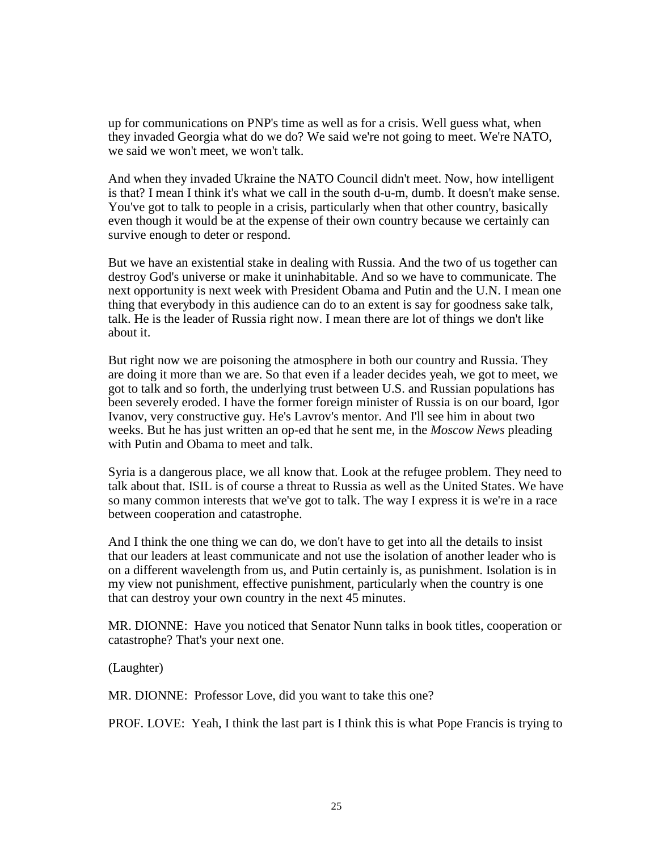up for communications on PNP's time as well as for a crisis. Well guess what, when they invaded Georgia what do we do? We said we're not going to meet. We're NATO, we said we won't meet, we won't talk.

And when they invaded Ukraine the NATO Council didn't meet. Now, how intelligent is that? I mean I think it's what we call in the south d-u-m, dumb. It doesn't make sense. You've got to talk to people in a crisis, particularly when that other country, basically even though it would be at the expense of their own country because we certainly can survive enough to deter or respond.

But we have an existential stake in dealing with Russia. And the two of us together can destroy God's universe or make it uninhabitable. And so we have to communicate. The next opportunity is next week with President Obama and Putin and the U.N. I mean one thing that everybody in this audience can do to an extent is say for goodness sake talk, talk. He is the leader of Russia right now. I mean there are lot of things we don't like about it.

But right now we are poisoning the atmosphere in both our country and Russia. They are doing it more than we are. So that even if a leader decides yeah, we got to meet, we got to talk and so forth, the underlying trust between U.S. and Russian populations has been severely eroded. I have the former foreign minister of Russia is on our board, Igor Ivanov, very constructive guy. He's Lavrov's mentor. And I'll see him in about two weeks. But he has just written an op-ed that he sent me, in the *Moscow News* pleading with Putin and Obama to meet and talk.

Syria is a dangerous place, we all know that. Look at the refugee problem. They need to talk about that. ISIL is of course a threat to Russia as well as the United States. We have so many common interests that we've got to talk. The way I express it is we're in a race between cooperation and catastrophe.

And I think the one thing we can do, we don't have to get into all the details to insist that our leaders at least communicate and not use the isolation of another leader who is on a different wavelength from us, and Putin certainly is, as punishment. Isolation is in my view not punishment, effective punishment, particularly when the country is one that can destroy your own country in the next 45 minutes.

MR. DIONNE: Have you noticed that Senator Nunn talks in book titles, cooperation or catastrophe? That's your next one.

(Laughter)

MR. DIONNE: Professor Love, did you want to take this one?

PROF. LOVE: Yeah, I think the last part is I think this is what Pope Francis is trying to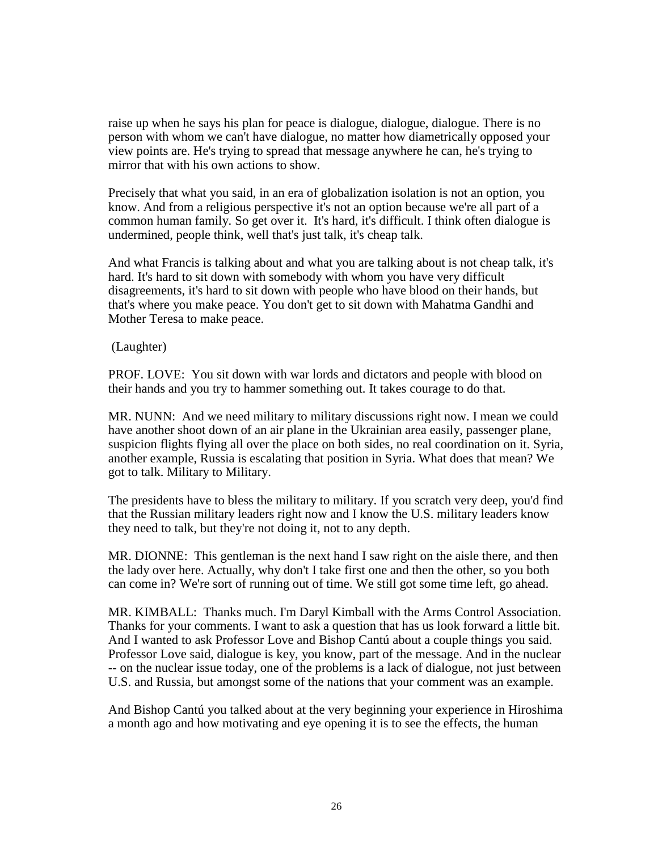raise up when he says his plan for peace is dialogue, dialogue, dialogue. There is no person with whom we can't have dialogue, no matter how diametrically opposed your view points are. He's trying to spread that message anywhere he can, he's trying to mirror that with his own actions to show.

Precisely that what you said, in an era of globalization isolation is not an option, you know. And from a religious perspective it's not an option because we're all part of a common human family. So get over it. It's hard, it's difficult. I think often dialogue is undermined, people think, well that's just talk, it's cheap talk.

And what Francis is talking about and what you are talking about is not cheap talk, it's hard. It's hard to sit down with somebody with whom you have very difficult disagreements, it's hard to sit down with people who have blood on their hands, but that's where you make peace. You don't get to sit down with Mahatma Gandhi and Mother Teresa to make peace.

(Laughter)

PROF. LOVE: You sit down with war lords and dictators and people with blood on their hands and you try to hammer something out. It takes courage to do that.

MR. NUNN: And we need military to military discussions right now. I mean we could have another shoot down of an air plane in the Ukrainian area easily, passenger plane, suspicion flights flying all over the place on both sides, no real coordination on it. Syria, another example, Russia is escalating that position in Syria. What does that mean? We got to talk. Military to Military.

The presidents have to bless the military to military. If you scratch very deep, you'd find that the Russian military leaders right now and I know the U.S. military leaders know they need to talk, but they're not doing it, not to any depth.

MR. DIONNE: This gentleman is the next hand I saw right on the aisle there, and then the lady over here. Actually, why don't I take first one and then the other, so you both can come in? We're sort of running out of time. We still got some time left, go ahead.

MR. KIMBALL: Thanks much. I'm Daryl Kimball with the Arms Control Association. Thanks for your comments. I want to ask a question that has us look forward a little bit. And I wanted to ask Professor Love and Bishop Cantú about a couple things you said. Professor Love said, dialogue is key, you know, part of the message. And in the nuclear -- on the nuclear issue today, one of the problems is a lack of dialogue, not just between U.S. and Russia, but amongst some of the nations that your comment was an example.

And Bishop Cantú you talked about at the very beginning your experience in Hiroshima a month ago and how motivating and eye opening it is to see the effects, the human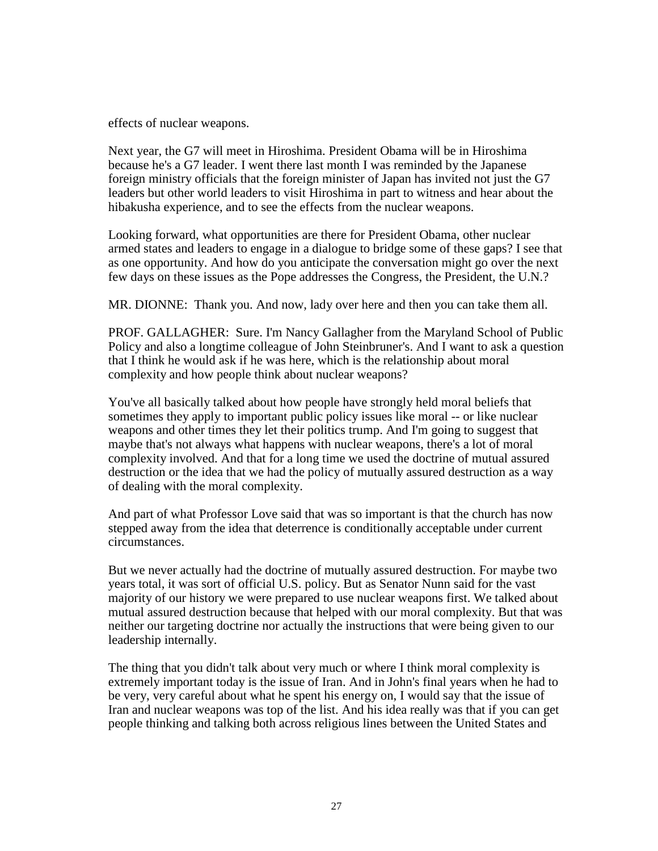effects of nuclear weapons.

Next year, the G7 will meet in Hiroshima. President Obama will be in Hiroshima because he's a G7 leader. I went there last month I was reminded by the Japanese foreign ministry officials that the foreign minister of Japan has invited not just the G7 leaders but other world leaders to visit Hiroshima in part to witness and hear about the hibakusha experience, and to see the effects from the nuclear weapons.

Looking forward, what opportunities are there for President Obama, other nuclear armed states and leaders to engage in a dialogue to bridge some of these gaps? I see that as one opportunity. And how do you anticipate the conversation might go over the next few days on these issues as the Pope addresses the Congress, the President, the U.N.?

MR. DIONNE: Thank you. And now, lady over here and then you can take them all.

PROF. GALLAGHER: Sure. I'm Nancy Gallagher from the Maryland School of Public Policy and also a longtime colleague of John Steinbruner's. And I want to ask a question that I think he would ask if he was here, which is the relationship about moral complexity and how people think about nuclear weapons?

You've all basically talked about how people have strongly held moral beliefs that sometimes they apply to important public policy issues like moral -- or like nuclear weapons and other times they let their politics trump. And I'm going to suggest that maybe that's not always what happens with nuclear weapons, there's a lot of moral complexity involved. And that for a long time we used the doctrine of mutual assured destruction or the idea that we had the policy of mutually assured destruction as a way of dealing with the moral complexity.

And part of what Professor Love said that was so important is that the church has now stepped away from the idea that deterrence is conditionally acceptable under current circumstances.

But we never actually had the doctrine of mutually assured destruction. For maybe two years total, it was sort of official U.S. policy. But as Senator Nunn said for the vast majority of our history we were prepared to use nuclear weapons first. We talked about mutual assured destruction because that helped with our moral complexity. But that was neither our targeting doctrine nor actually the instructions that were being given to our leadership internally.

The thing that you didn't talk about very much or where I think moral complexity is extremely important today is the issue of Iran. And in John's final years when he had to be very, very careful about what he spent his energy on, I would say that the issue of Iran and nuclear weapons was top of the list. And his idea really was that if you can get people thinking and talking both across religious lines between the United States and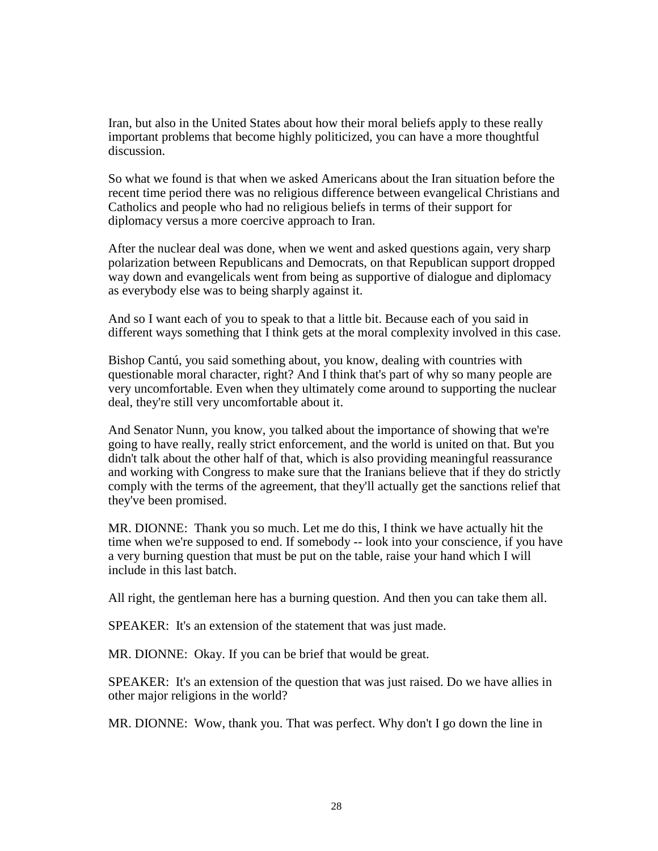Iran, but also in the United States about how their moral beliefs apply to these really important problems that become highly politicized, you can have a more thoughtful discussion.

So what we found is that when we asked Americans about the Iran situation before the recent time period there was no religious difference between evangelical Christians and Catholics and people who had no religious beliefs in terms of their support for diplomacy versus a more coercive approach to Iran.

After the nuclear deal was done, when we went and asked questions again, very sharp polarization between Republicans and Democrats, on that Republican support dropped way down and evangelicals went from being as supportive of dialogue and diplomacy as everybody else was to being sharply against it.

And so I want each of you to speak to that a little bit. Because each of you said in different ways something that I think gets at the moral complexity involved in this case.

Bishop Cantú, you said something about, you know, dealing with countries with questionable moral character, right? And I think that's part of why so many people are very uncomfortable. Even when they ultimately come around to supporting the nuclear deal, they're still very uncomfortable about it.

And Senator Nunn, you know, you talked about the importance of showing that we're going to have really, really strict enforcement, and the world is united on that. But you didn't talk about the other half of that, which is also providing meaningful reassurance and working with Congress to make sure that the Iranians believe that if they do strictly comply with the terms of the agreement, that they'll actually get the sanctions relief that they've been promised.

MR. DIONNE: Thank you so much. Let me do this, I think we have actually hit the time when we're supposed to end. If somebody -- look into your conscience, if you have a very burning question that must be put on the table, raise your hand which I will include in this last batch.

All right, the gentleman here has a burning question. And then you can take them all.

SPEAKER: It's an extension of the statement that was just made.

MR. DIONNE: Okay. If you can be brief that would be great.

SPEAKER: It's an extension of the question that was just raised. Do we have allies in other major religions in the world?

MR. DIONNE: Wow, thank you. That was perfect. Why don't I go down the line in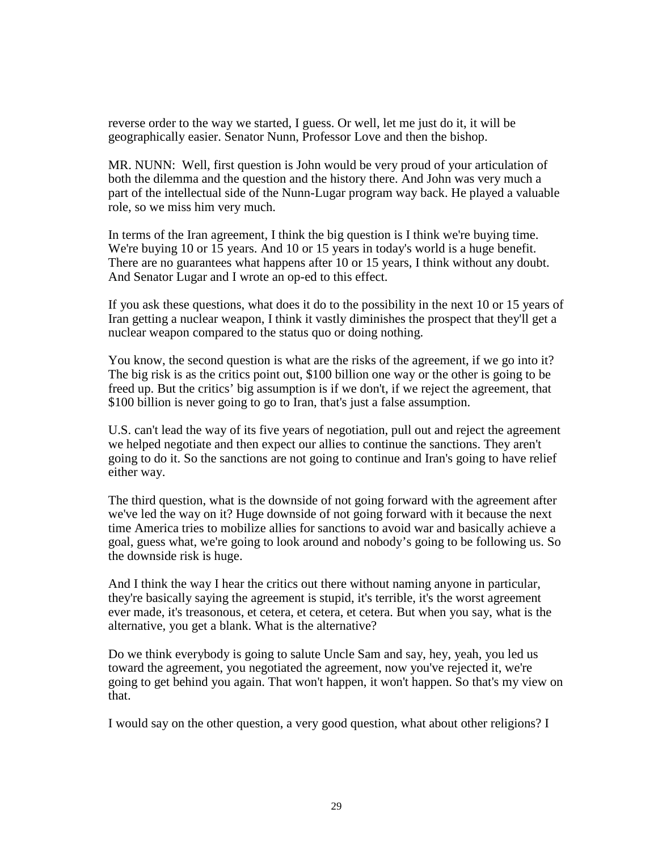reverse order to the way we started, I guess. Or well, let me just do it, it will be geographically easier. Senator Nunn, Professor Love and then the bishop.

MR. NUNN: Well, first question is John would be very proud of your articulation of both the dilemma and the question and the history there. And John was very much a part of the intellectual side of the Nunn-Lugar program way back. He played a valuable role, so we miss him very much.

In terms of the Iran agreement, I think the big question is I think we're buying time. We're buying 10 or 15 years. And 10 or 15 years in today's world is a huge benefit. There are no guarantees what happens after 10 or 15 years, I think without any doubt. And Senator Lugar and I wrote an op-ed to this effect.

If you ask these questions, what does it do to the possibility in the next 10 or 15 years of Iran getting a nuclear weapon, I think it vastly diminishes the prospect that they'll get a nuclear weapon compared to the status quo or doing nothing.

You know, the second question is what are the risks of the agreement, if we go into it? The big risk is as the critics point out, \$100 billion one way or the other is going to be freed up. But the critics' big assumption is if we don't, if we reject the agreement, that \$100 billion is never going to go to Iran, that's just a false assumption.

U.S. can't lead the way of its five years of negotiation, pull out and reject the agreement we helped negotiate and then expect our allies to continue the sanctions. They aren't going to do it. So the sanctions are not going to continue and Iran's going to have relief either way.

The third question, what is the downside of not going forward with the agreement after we've led the way on it? Huge downside of not going forward with it because the next time America tries to mobilize allies for sanctions to avoid war and basically achieve a goal, guess what, we're going to look around and nobody's going to be following us. So the downside risk is huge.

And I think the way I hear the critics out there without naming anyone in particular, they're basically saying the agreement is stupid, it's terrible, it's the worst agreement ever made, it's treasonous, et cetera, et cetera, et cetera. But when you say, what is the alternative, you get a blank. What is the alternative?

Do we think everybody is going to salute Uncle Sam and say, hey, yeah, you led us toward the agreement, you negotiated the agreement, now you've rejected it, we're going to get behind you again. That won't happen, it won't happen. So that's my view on that.

I would say on the other question, a very good question, what about other religions? I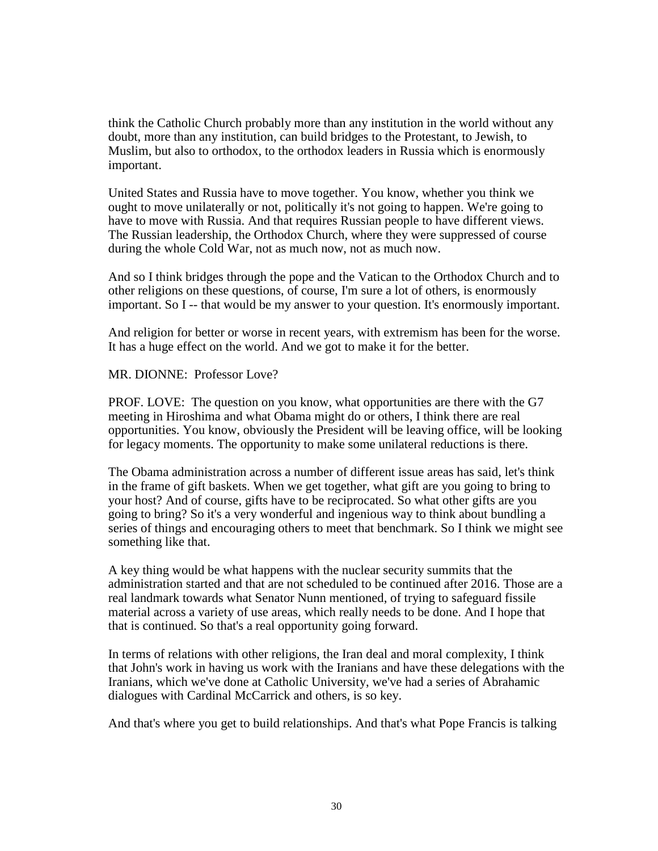think the Catholic Church probably more than any institution in the world without any doubt, more than any institution, can build bridges to the Protestant, to Jewish, to Muslim, but also to orthodox, to the orthodox leaders in Russia which is enormously important.

United States and Russia have to move together. You know, whether you think we ought to move unilaterally or not, politically it's not going to happen. We're going to have to move with Russia. And that requires Russian people to have different views. The Russian leadership, the Orthodox Church, where they were suppressed of course during the whole Cold War, not as much now, not as much now.

And so I think bridges through the pope and the Vatican to the Orthodox Church and to other religions on these questions, of course, I'm sure a lot of others, is enormously important. So I -- that would be my answer to your question. It's enormously important.

And religion for better or worse in recent years, with extremism has been for the worse. It has a huge effect on the world. And we got to make it for the better.

### MR. DIONNE: Professor Love?

PROF. LOVE: The question on you know, what opportunities are there with the G7 meeting in Hiroshima and what Obama might do or others, I think there are real opportunities. You know, obviously the President will be leaving office, will be looking for legacy moments. The opportunity to make some unilateral reductions is there.

The Obama administration across a number of different issue areas has said, let's think in the frame of gift baskets. When we get together, what gift are you going to bring to your host? And of course, gifts have to be reciprocated. So what other gifts are you going to bring? So it's a very wonderful and ingenious way to think about bundling a series of things and encouraging others to meet that benchmark. So I think we might see something like that.

A key thing would be what happens with the nuclear security summits that the administration started and that are not scheduled to be continued after 2016. Those are a real landmark towards what Senator Nunn mentioned, of trying to safeguard fissile material across a variety of use areas, which really needs to be done. And I hope that that is continued. So that's a real opportunity going forward.

In terms of relations with other religions, the Iran deal and moral complexity, I think that John's work in having us work with the Iranians and have these delegations with the Iranians, which we've done at Catholic University, we've had a series of Abrahamic dialogues with Cardinal McCarrick and others, is so key.

And that's where you get to build relationships. And that's what Pope Francis is talking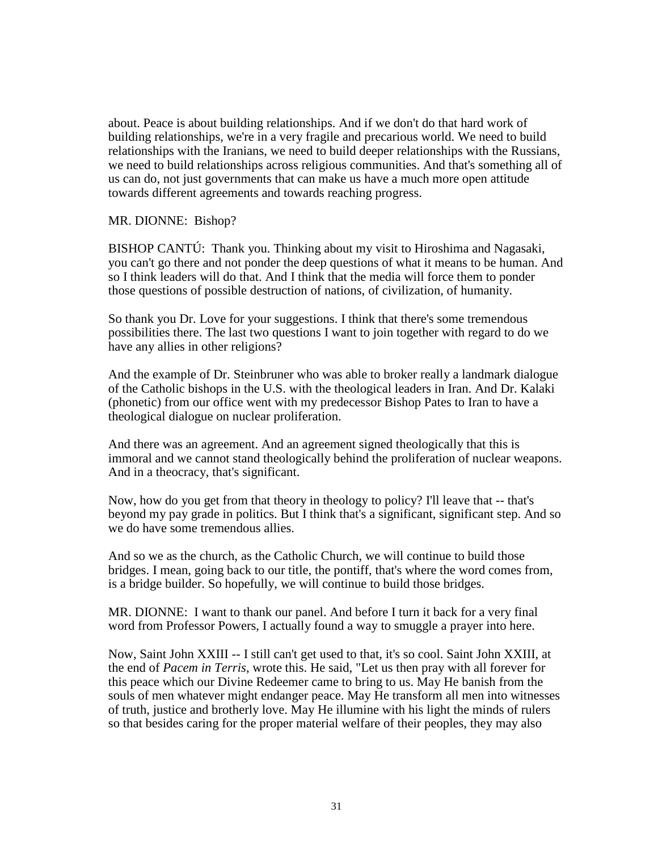about. Peace is about building relationships. And if we don't do that hard work of building relationships, we're in a very fragile and precarious world. We need to build relationships with the Iranians, we need to build deeper relationships with the Russians, we need to build relationships across religious communities. And that's something all of us can do, not just governments that can make us have a much more open attitude towards different agreements and towards reaching progress.

### MR. DIONNE: Bishop?

BISHOP CANTÚ: Thank you. Thinking about my visit to Hiroshima and Nagasaki, you can't go there and not ponder the deep questions of what it means to be human. And so I think leaders will do that. And I think that the media will force them to ponder those questions of possible destruction of nations, of civilization, of humanity.

So thank you Dr. Love for your suggestions. I think that there's some tremendous possibilities there. The last two questions I want to join together with regard to do we have any allies in other religions?

And the example of Dr. Steinbruner who was able to broker really a landmark dialogue of the Catholic bishops in the U.S. with the theological leaders in Iran. And Dr. Kalaki (phonetic) from our office went with my predecessor Bishop Pates to Iran to have a theological dialogue on nuclear proliferation.

And there was an agreement. And an agreement signed theologically that this is immoral and we cannot stand theologically behind the proliferation of nuclear weapons. And in a theocracy, that's significant.

Now, how do you get from that theory in theology to policy? I'll leave that -- that's beyond my pay grade in politics. But I think that's a significant, significant step. And so we do have some tremendous allies.

And so we as the church, as the Catholic Church, we will continue to build those bridges. I mean, going back to our title, the pontiff, that's where the word comes from, is a bridge builder. So hopefully, we will continue to build those bridges.

MR. DIONNE: I want to thank our panel. And before I turn it back for a very final word from Professor Powers, I actually found a way to smuggle a prayer into here.

Now, Saint John XXIII -- I still can't get used to that, it's so cool. Saint John XXIII, at the end of *Pacem in Terris*, wrote this. He said, "Let us then pray with all forever for this peace which our Divine Redeemer came to bring to us. May He banish from the souls of men whatever might endanger peace. May He transform all men into witnesses of truth, justice and brotherly love. May He illumine with his light the minds of rulers so that besides caring for the proper material welfare of their peoples, they may also